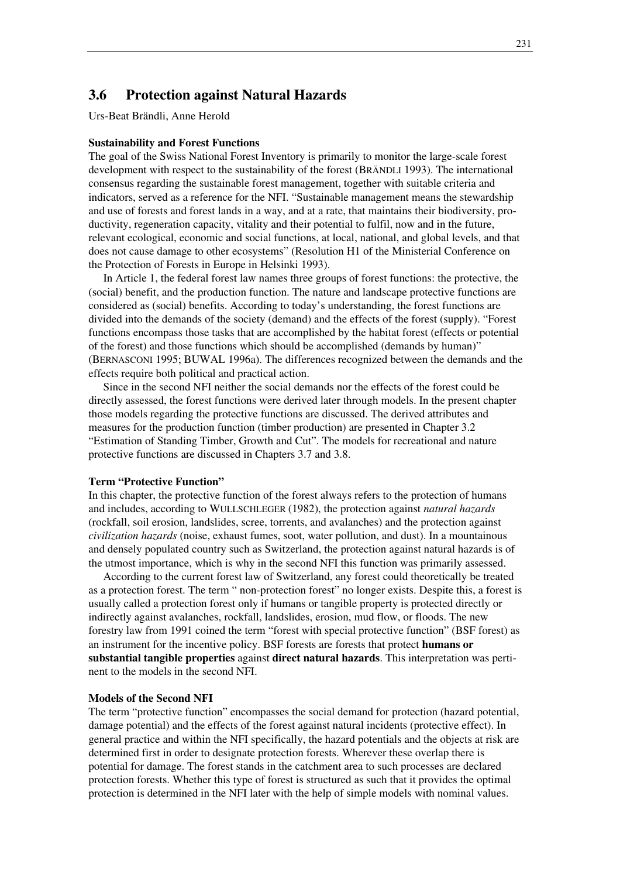# **3.6 Protection against Natural Hazards**

Urs-Beat Brändli, Anne Herold

## **Sustainability and Forest Functions**

The goal of the Swiss National Forest Inventory is primarily to monitor the large-scale forest development with respect to the sustainability of the forest (BRÄNDLI 1993). The international consensus regarding the sustainable forest management, together with suitable criteria and indicators, served as a reference for the NFI. "Sustainable management means the stewardship and use of forests and forest lands in a way, and at a rate, that maintains their biodiversity, productivity, regeneration capacity, vitality and their potential to fulfil, now and in the future, relevant ecological, economic and social functions, at local, national, and global levels, and that does not cause damage to other ecosystems" (Resolution H1 of the Ministerial Conference on the Protection of Forests in Europe in Helsinki 1993).

In Article 1, the federal forest law names three groups of forest functions: the protective, the (social) benefit, and the production function. The nature and landscape protective functions are considered as (social) benefits. According to today's understanding, the forest functions are divided into the demands of the society (demand) and the effects of the forest (supply). "Forest functions encompass those tasks that are accomplished by the habitat forest (effects or potential of the forest) and those functions which should be accomplished (demands by human)" (BERNASCONI 1995; BUWAL 1996a). The differences recognized between the demands and the effects require both political and practical action.

Since in the second NFI neither the social demands nor the effects of the forest could be directly assessed, the forest functions were derived later through models. In the present chapter those models regarding the protective functions are discussed. The derived attributes and measures for the production function (timber production) are presented in Chapter 3.2 "Estimation of Standing Timber, Growth and Cut". The models for recreational and nature protective functions are discussed in Chapters 3.7 and 3.8.

### **Term "Protective Function"**

In this chapter, the protective function of the forest always refers to the protection of humans and includes, according to WULLSCHLEGER (1982), the protection against *natural hazards* (rockfall, soil erosion, landslides, scree, torrents, and avalanches) and the protection against *civilization hazards* (noise, exhaust fumes, soot, water pollution, and dust). In a mountainous and densely populated country such as Switzerland, the protection against natural hazards is of the utmost importance, which is why in the second NFI this function was primarily assessed.

According to the current forest law of Switzerland, any forest could theoretically be treated as a protection forest. The term " non-protection forest" no longer exists. Despite this, a forest is usually called a protection forest only if humans or tangible property is protected directly or indirectly against avalanches, rockfall, landslides, erosion, mud flow, or floods. The new forestry law from 1991 coined the term "forest with special protective function" (BSF forest) as an instrument for the incentive policy. BSF forests are forests that protect **humans or substantial tangible properties** against **direct natural hazards**. This interpretation was pertinent to the models in the second NFI.

# **Models of the Second NFI**

The term "protective function" encompasses the social demand for protection (hazard potential, damage potential) and the effects of the forest against natural incidents (protective effect). In general practice and within the NFI specifically, the hazard potentials and the objects at risk are determined first in order to designate protection forests. Wherever these overlap there is potential for damage. The forest stands in the catchment area to such processes are declared protection forests. Whether this type of forest is structured as such that it provides the optimal protection is determined in the NFI later with the help of simple models with nominal values.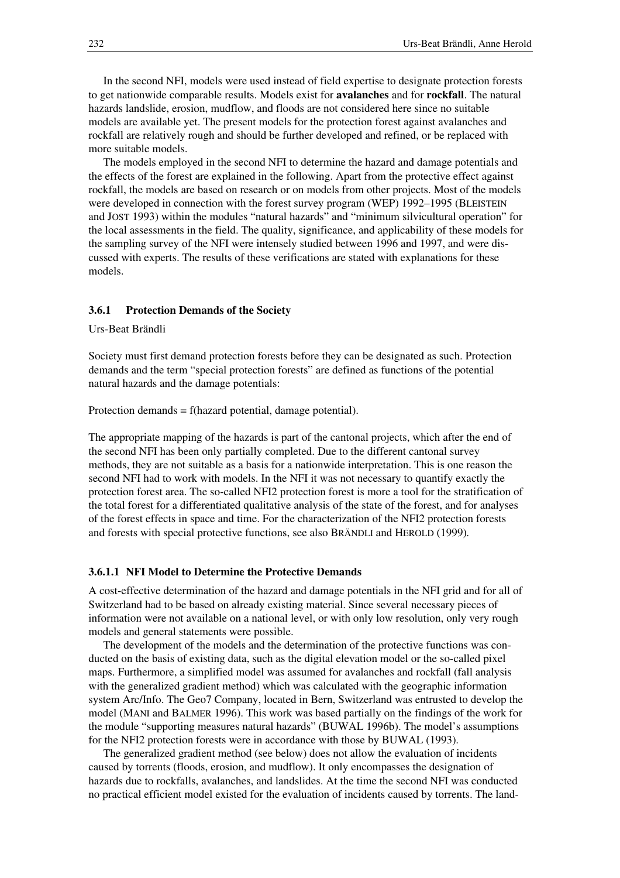In the second NFI, models were used instead of field expertise to designate protection forests to get nationwide comparable results. Models exist for **avalanches** and for **rockfall**. The natural hazards landslide, erosion, mudflow, and floods are not considered here since no suitable models are available yet. The present models for the protection forest against avalanches and rockfall are relatively rough and should be further developed and refined, or be replaced with more suitable models.

The models employed in the second NFI to determine the hazard and damage potentials and the effects of the forest are explained in the following. Apart from the protective effect against rockfall, the models are based on research or on models from other projects. Most of the models were developed in connection with the forest survey program (WEP) 1992–1995 (BLEISTEIN and JOST 1993) within the modules "natural hazards" and "minimum silvicultural operation" for the local assessments in the field. The quality, significance, and applicability of these models for the sampling survey of the NFI were intensely studied between 1996 and 1997, and were discussed with experts. The results of these verifications are stated with explanations for these models.

#### **3.6.1 Protection Demands of the Society**

Urs-Beat Brändli

Society must first demand protection forests before they can be designated as such. Protection demands and the term "special protection forests" are defined as functions of the potential natural hazards and the damage potentials:

Protection demands = f(hazard potential, damage potential).

The appropriate mapping of the hazards is part of the cantonal projects, which after the end of the second NFI has been only partially completed. Due to the different cantonal survey methods, they are not suitable as a basis for a nationwide interpretation. This is one reason the second NFI had to work with models. In the NFI it was not necessary to quantify exactly the protection forest area. The so-called NFI2 protection forest is more a tool for the stratification of the total forest for a differentiated qualitative analysis of the state of the forest, and for analyses of the forest effects in space and time. For the characterization of the NFI2 protection forests and forests with special protective functions, see also BRÄNDLI and HEROLD (1999).

### **3.6.1.1 NFI Model to Determine the Protective Demands**

A cost-effective determination of the hazard and damage potentials in the NFI grid and for all of Switzerland had to be based on already existing material. Since several necessary pieces of information were not available on a national level, or with only low resolution, only very rough models and general statements were possible.

The development of the models and the determination of the protective functions was conducted on the basis of existing data, such as the digital elevation model or the so-called pixel maps. Furthermore, a simplified model was assumed for avalanches and rockfall (fall analysis with the generalized gradient method) which was calculated with the geographic information system Arc/Info. The Geo7 Company, located in Bern, Switzerland was entrusted to develop the model (MANI and BALMER 1996). This work was based partially on the findings of the work for the module "supporting measures natural hazards" (BUWAL 1996b). The model's assumptions for the NFI2 protection forests were in accordance with those by BUWAL (1993).

The generalized gradient method (see below) does not allow the evaluation of incidents caused by torrents (floods, erosion, and mudflow). It only encompasses the designation of hazards due to rockfalls, avalanches, and landslides. At the time the second NFI was conducted no practical efficient model existed for the evaluation of incidents caused by torrents. The land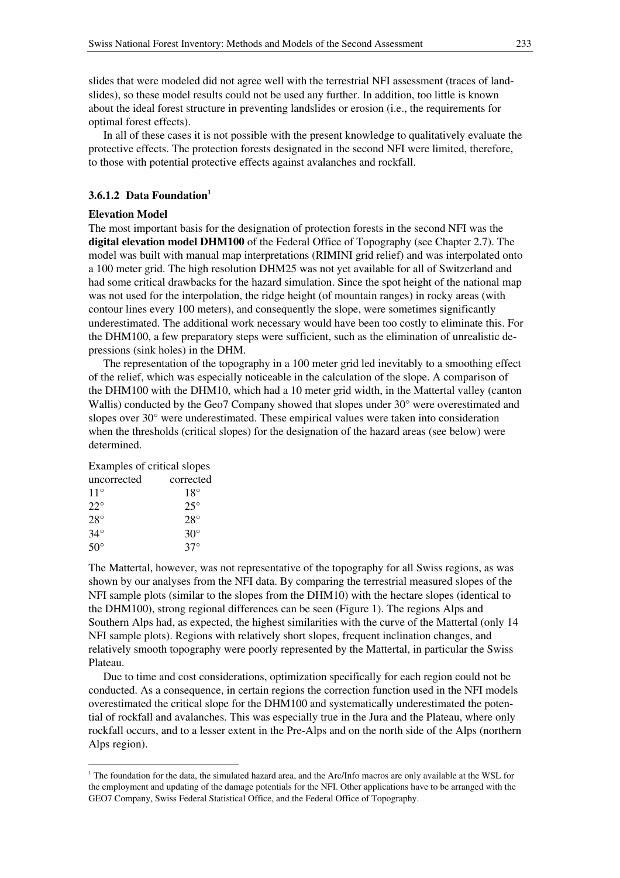slides that were modeled did not agree well with the terrestrial NFI assessment (traces of landslides), so these model results could not be used any further. In addition, too little is known about the ideal forest structure in preventing landslides or erosion (i.e., the requirements for optimal forest effects).

In all of these cases it is not possible with the present knowledge to qualitatively evaluate the protective effects. The protection forests designated in the second NFI were limited, therefore, to those with potential protective effects against avalanches and rockfall.

## **3.6.1.2 Data Foundation1**

# **Elevation Model**

The most important basis for the designation of protection forests in the second NFI was the **digital elevation model DHM100** of the Federal Office of Topography (see Chapter 2.7). The model was built with manual map interpretations (RIMINI grid relief) and was interpolated onto a 100 meter grid. The high resolution DHM25 was not yet available for all of Switzerland and had some critical drawbacks for the hazard simulation. Since the spot height of the national map was not used for the interpolation, the ridge height (of mountain ranges) in rocky areas (with contour lines every 100 meters), and consequently the slope, were sometimes significantly underestimated. The additional work necessary would have been too costly to eliminate this. For the DHM100, a few preparatory steps were sufficient, such as the elimination of unrealistic depressions (sink holes) in the DHM.

The representation of the topography in a 100 meter grid led inevitably to a smoothing effect of the relief, which was especially noticeable in the calculation of the slope. A comparison of the DHM100 with the DHM10, which had a 10 meter grid width, in the Mattertal valley (canton Wallis) conducted by the Geo7 Company showed that slopes under 30° were overestimated and slopes over 30° were underestimated. These empirical values were taken into consideration when the thresholds (critical slopes) for the designation of the hazard areas (see below) were determined.

| Examples of critical slopes |              |  |  |  |  |  |  |
|-----------------------------|--------------|--|--|--|--|--|--|
| uncorrected                 | corrected    |  |  |  |  |  |  |
| $11^{\circ}$                | $18^{\circ}$ |  |  |  |  |  |  |
| $22^{\circ}$                | $25^\circ$   |  |  |  |  |  |  |
| $28^{\circ}$                | $28^{\circ}$ |  |  |  |  |  |  |
| $34^\circ$                  | $30^{\circ}$ |  |  |  |  |  |  |
| $50^\circ$                  | $37^\circ$   |  |  |  |  |  |  |

 $\overline{a}$ 

The Mattertal, however, was not representative of the topography for all Swiss regions, as was shown by our analyses from the NFI data. By comparing the terrestrial measured slopes of the NFI sample plots (similar to the slopes from the DHM10) with the hectare slopes (identical to the DHM100), strong regional differences can be seen (Figure 1). The regions Alps and Southern Alps had, as expected, the highest similarities with the curve of the Mattertal (only 14 NFI sample plots). Regions with relatively short slopes, frequent inclination changes, and relatively smooth topography were poorly represented by the Mattertal, in particular the Swiss Plateau.

Due to time and cost considerations, optimization specifically for each region could not be conducted. As a consequence, in certain regions the correction function used in the NFI models overestimated the critical slope for the DHM100 and systematically underestimated the potential of rockfall and avalanches. This was especially true in the Jura and the Plateau, where only rockfall occurs, and to a lesser extent in the Pre-Alps and on the north side of the Alps (northern Alps region).

<sup>&</sup>lt;sup>1</sup> The foundation for the data, the simulated hazard area, and the Arc/Info macros are only available at the WSL for the employment and updating of the damage potentials for the NFI. Other applications have to be arranged with the GEO7 Company, Swiss Federal Statistical Office, and the Federal Office of Topography.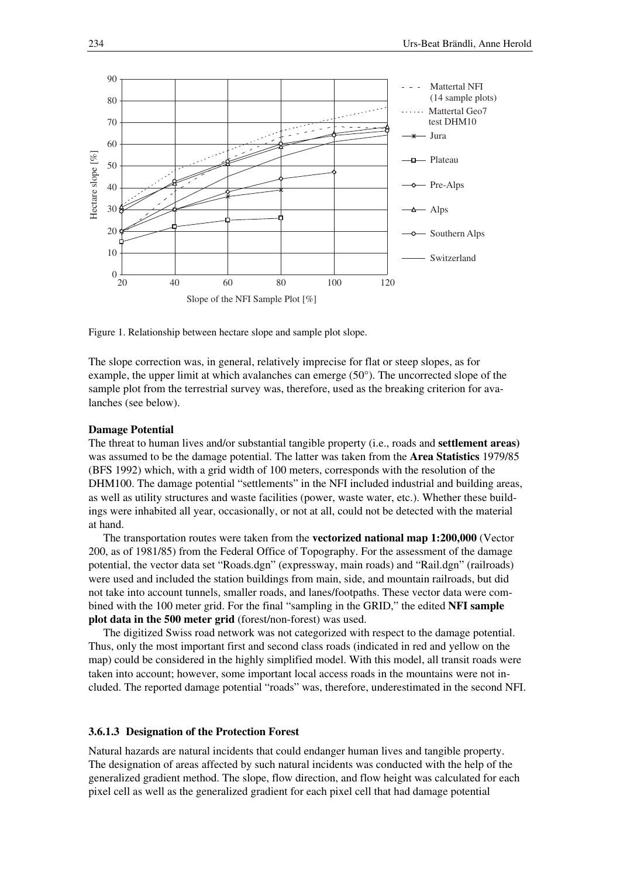

Figure 1. Relationship between hectare slope and sample plot slope.

The slope correction was, in general, relatively imprecise for flat or steep slopes, as for example, the upper limit at which avalanches can emerge  $(50^{\circ})$ . The uncorrected slope of the sample plot from the terrestrial survey was, therefore, used as the breaking criterion for avalanches (see below).

#### **Damage Potential**

The threat to human lives and/or substantial tangible property (i.e., roads and **settlement areas)** was assumed to be the damage potential. The latter was taken from the **Area Statistics** 1979/85 (BFS 1992) which, with a grid width of 100 meters, corresponds with the resolution of the DHM100. The damage potential "settlements" in the NFI included industrial and building areas, as well as utility structures and waste facilities (power, waste water, etc.). Whether these buildings were inhabited all year, occasionally, or not at all, could not be detected with the material at hand.

The transportation routes were taken from the **vectorized national map 1:200,000** (Vector 200, as of 1981/85) from the Federal Office of Topography. For the assessment of the damage potential, the vector data set "Roads.dgn" (expressway, main roads) and "Rail.dgn" (railroads) were used and included the station buildings from main, side, and mountain railroads, but did not take into account tunnels, smaller roads, and lanes/footpaths. These vector data were combined with the 100 meter grid. For the final "sampling in the GRID," the edited **NFI sample plot data in the 500 meter grid** (forest/non-forest) was used.

The digitized Swiss road network was not categorized with respect to the damage potential. Thus, only the most important first and second class roads (indicated in red and yellow on the map) could be considered in the highly simplified model. With this model, all transit roads were taken into account; however, some important local access roads in the mountains were not included. The reported damage potential "roads" was, therefore, underestimated in the second NFI.

### **3.6.1.3 Designation of the Protection Forest**

Natural hazards are natural incidents that could endanger human lives and tangible property. The designation of areas affected by such natural incidents was conducted with the help of the generalized gradient method. The slope, flow direction, and flow height was calculated for each pixel cell as well as the generalized gradient for each pixel cell that had damage potential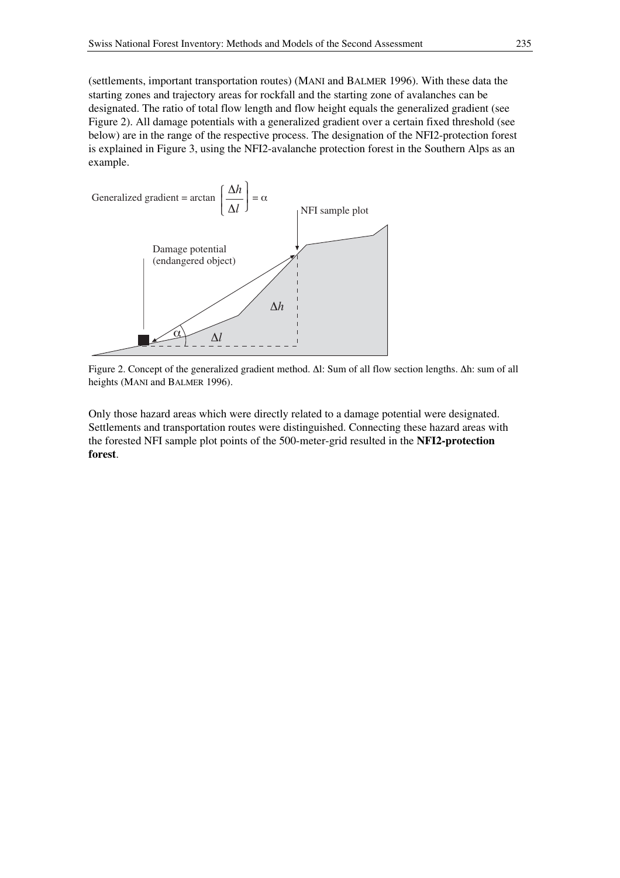(settlements, important transportation routes) (MANI and BALMER 1996). With these data the starting zones and trajectory areas for rockfall and the starting zone of avalanches can be designated. The ratio of total flow length and flow height equals the generalized gradient (see Figure 2). All damage potentials with a generalized gradient over a certain fixed threshold (see below) are in the range of the respective process. The designation of the NFI2-protection forest is explained in Figure 3, using the NFI2-avalanche protection forest in the Southern Alps as an example.



Figure 2. Concept of the generalized gradient method. Δl: Sum of all flow section lengths. Δh: sum of all heights (MANI and BALMER 1996).

Only those hazard areas which were directly related to a damage potential were designated. Settlements and transportation routes were distinguished. Connecting these hazard areas with the forested NFI sample plot points of the 500-meter-grid resulted in the **NFI2-protection forest**.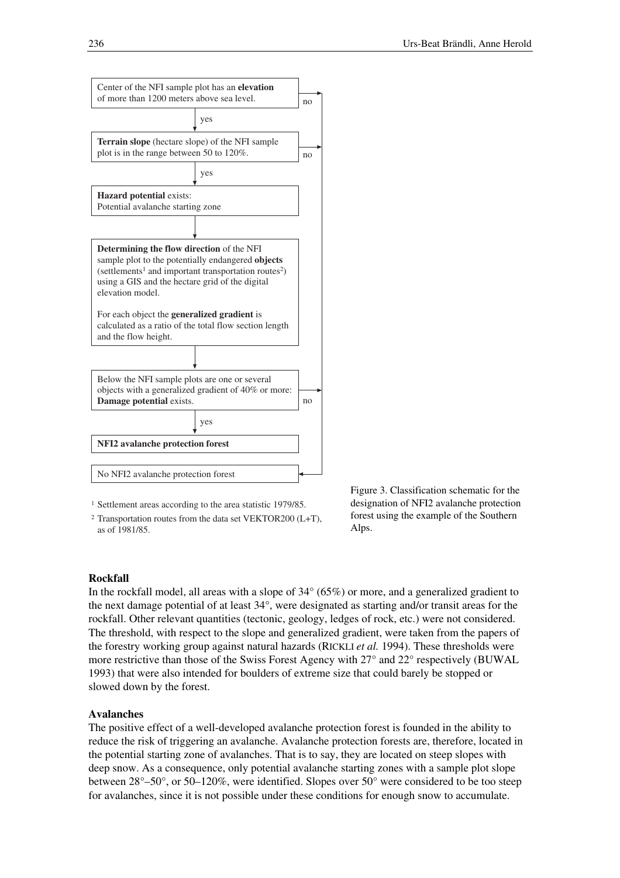

<sup>1</sup> Settlement areas according to the area statistic 1979/85.

Figure 3. Classification schematic for the designation of NFI2 avalanche protection forest using the example of the Southern Alps.

# **Rockfall**

In the rockfall model, all areas with a slope of 34° (65%) or more, and a generalized gradient to the next damage potential of at least 34°, were designated as starting and/or transit areas for the rockfall. Other relevant quantities (tectonic, geology, ledges of rock, etc.) were not considered. The threshold, with respect to the slope and generalized gradient, were taken from the papers of the forestry working group against natural hazards (RICKLI *et al.* 1994). These thresholds were more restrictive than those of the Swiss Forest Agency with 27° and 22° respectively (BUWAL 1993) that were also intended for boulders of extreme size that could barely be stopped or slowed down by the forest.

# **Avalanches**

The positive effect of a well-developed avalanche protection forest is founded in the ability to reduce the risk of triggering an avalanche. Avalanche protection forests are, therefore, located in the potential starting zone of avalanches. That is to say, they are located on steep slopes with deep snow. As a consequence, only potential avalanche starting zones with a sample plot slope between 28°–50°, or 50–120%, were identified. Slopes over 50° were considered to be too steep for avalanches, since it is not possible under these conditions for enough snow to accumulate.

<sup>2</sup> Transportation routes from the data set VEKTOR200 (L+T), as of 1981/85.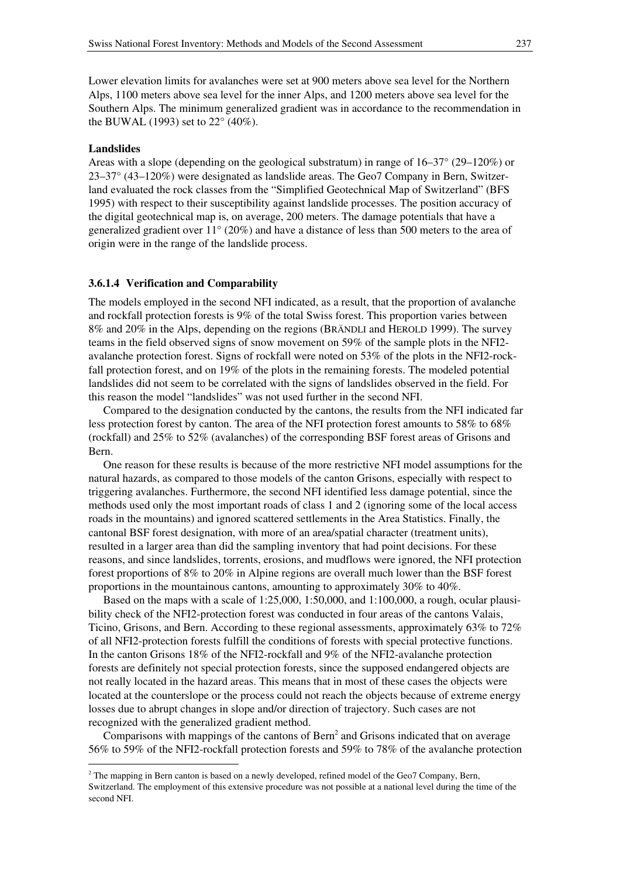Lower elevation limits for avalanches were set at 900 meters above sea level for the Northern Alps, 1100 meters above sea level for the inner Alps, and 1200 meters above sea level for the Southern Alps. The minimum generalized gradient was in accordance to the recommendation in the BUWAL (1993) set to 22° (40%).

### **Landslides**

 $\overline{a}$ 

Areas with a slope (depending on the geological substratum) in range of  $16-37^{\circ}$  (29–120%) or 23–37° (43–120%) were designated as landslide areas. The Geo7 Company in Bern, Switzerland evaluated the rock classes from the "Simplified Geotechnical Map of Switzerland" (BFS 1995) with respect to their susceptibility against landslide processes. The position accuracy of the digital geotechnical map is, on average, 200 meters. The damage potentials that have a generalized gradient over 11° (20%) and have a distance of less than 500 meters to the area of origin were in the range of the landslide process.

# **3.6.1.4 Verification and Comparability**

The models employed in the second NFI indicated, as a result, that the proportion of avalanche and rockfall protection forests is 9% of the total Swiss forest. This proportion varies between 8% and 20% in the Alps, depending on the regions (BRÄNDLI and HEROLD 1999). The survey teams in the field observed signs of snow movement on 59% of the sample plots in the NFI2 avalanche protection forest. Signs of rockfall were noted on 53% of the plots in the NFI2-rockfall protection forest, and on 19% of the plots in the remaining forests. The modeled potential landslides did not seem to be correlated with the signs of landslides observed in the field. For this reason the model "landslides" was not used further in the second NFI.

Compared to the designation conducted by the cantons, the results from the NFI indicated far less protection forest by canton. The area of the NFI protection forest amounts to 58% to 68% (rockfall) and 25% to 52% (avalanches) of the corresponding BSF forest areas of Grisons and Bern.

One reason for these results is because of the more restrictive NFI model assumptions for the natural hazards, as compared to those models of the canton Grisons, especially with respect to triggering avalanches. Furthermore, the second NFI identified less damage potential, since the methods used only the most important roads of class 1 and 2 (ignoring some of the local access roads in the mountains) and ignored scattered settlements in the Area Statistics. Finally, the cantonal BSF forest designation, with more of an area/spatial character (treatment units), resulted in a larger area than did the sampling inventory that had point decisions. For these reasons, and since landslides, torrents, erosions, and mudflows were ignored, the NFI protection forest proportions of 8% to 20% in Alpine regions are overall much lower than the BSF forest proportions in the mountainous cantons, amounting to approximately 30% to 40%.

Based on the maps with a scale of  $1:25,000, 1:50,000$ , and  $1:100,000$ , a rough, ocular plausibility check of the NFI2-protection forest was conducted in four areas of the cantons Valais, Ticino, Grisons, and Bern. According to these regional assessments, approximately 63% to 72% of all NFI2-protection forests fulfill the conditions of forests with special protective functions. In the canton Grisons 18% of the NFI2-rockfall and 9% of the NFI2-avalanche protection forests are definitely not special protection forests, since the supposed endangered objects are not really located in the hazard areas. This means that in most of these cases the objects were located at the counterslope or the process could not reach the objects because of extreme energy losses due to abrupt changes in slope and/or direction of trajectory. Such cases are not recognized with the generalized gradient method.

Comparisons with mappings of the cantons of  $Bern<sup>2</sup>$  and Grisons indicated that on average 56% to 59% of the NFI2-rockfall protection forests and 59% to 78% of the avalanche protection

<sup>&</sup>lt;sup>2</sup> The mapping in Bern canton is based on a newly developed, refined model of the Geo7 Company, Bern, Switzerland. The employment of this extensive procedure was not possible at a national level during the time of the second NFI.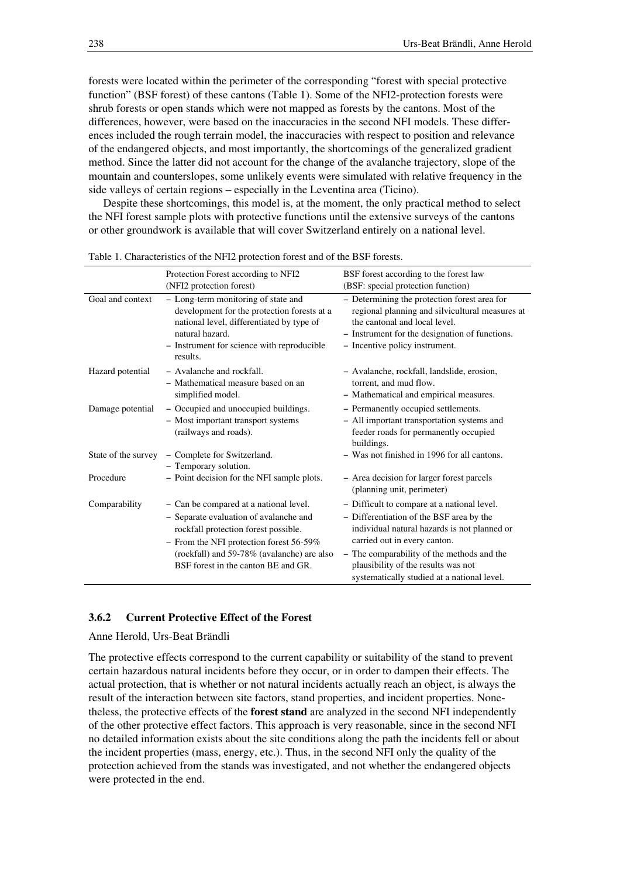forests were located within the perimeter of the corresponding "forest with special protective function" (BSF forest) of these cantons (Table 1). Some of the NFI2-protection forests were shrub forests or open stands which were not mapped as forests by the cantons. Most of the differences, however, were based on the inaccuracies in the second NFI models. These differences included the rough terrain model, the inaccuracies with respect to position and relevance of the endangered objects, and most importantly, the shortcomings of the generalized gradient method. Since the latter did not account for the change of the avalanche trajectory, slope of the mountain and counterslopes, some unlikely events were simulated with relative frequency in the side valleys of certain regions – especially in the Leventina area (Ticino).

Despite these shortcomings, this model is, at the moment, the only practical method to select the NFI forest sample plots with protective functions until the extensive surveys of the cantons or other groundwork is available that will cover Switzerland entirely on a national level.

|                     | Protection Forest according to NFI2<br>(NFI2 protection forest)                                                                                                                                                                                          | BSF forest according to the forest law<br>(BSF: special protection function)                                                                                                                                                                                                                                |
|---------------------|----------------------------------------------------------------------------------------------------------------------------------------------------------------------------------------------------------------------------------------------------------|-------------------------------------------------------------------------------------------------------------------------------------------------------------------------------------------------------------------------------------------------------------------------------------------------------------|
| Goal and context    | - Long-term monitoring of state and<br>development for the protection forests at a<br>national level, differentiated by type of<br>natural hazard.<br>- Instrument for science with reproducible<br>results.                                             | - Determining the protection forest area for<br>regional planning and silvicultural measures at<br>the cantonal and local level.<br>- Instrument for the designation of functions.<br>- Incentive policy instrument.                                                                                        |
| Hazard potential    | - Avalanche and rockfall.<br>- Mathematical measure based on an<br>simplified model.                                                                                                                                                                     | - Avalanche, rockfall, landslide, erosion,<br>torrent, and mud flow.<br>- Mathematical and empirical measures.                                                                                                                                                                                              |
| Damage potential    | - Occupied and unoccupied buildings.<br>- Most important transport systems<br>(railways and roads).                                                                                                                                                      | - Permanently occupied settlements.<br>- All important transportation systems and<br>feeder roads for permanently occupied<br>buildings.                                                                                                                                                                    |
| State of the survey | - Complete for Switzerland.<br>- Temporary solution.                                                                                                                                                                                                     | - Was not finished in 1996 for all cantons.                                                                                                                                                                                                                                                                 |
| Procedure           | - Point decision for the NFI sample plots.                                                                                                                                                                                                               | - Area decision for larger forest parcels<br>(planning unit, perimeter)                                                                                                                                                                                                                                     |
| Comparability       | - Can be compared at a national level.<br>- Separate evaluation of avalanche and<br>rockfall protection forest possible.<br>- From the NFI protection forest 56-59%<br>(rockfall) and 59-78% (avalanche) are also<br>BSF forest in the canton BE and GR. | - Difficult to compare at a national level.<br>- Differentiation of the BSF area by the<br>individual natural hazards is not planned or<br>carried out in every canton.<br>- The comparability of the methods and the<br>plausibility of the results was not<br>systematically studied at a national level. |

Table 1. Characteristics of the NFI2 protection forest and of the BSF forests.

# **3.6.2 Current Protective Effect of the Forest**

Anne Herold, Urs-Beat Brändli

The protective effects correspond to the current capability or suitability of the stand to prevent certain hazardous natural incidents before they occur, or in order to dampen their effects. The actual protection, that is whether or not natural incidents actually reach an object, is always the result of the interaction between site factors, stand properties, and incident properties. Nonetheless, the protective effects of the **forest stand** are analyzed in the second NFI independently of the other protective effect factors. This approach is very reasonable, since in the second NFI no detailed information exists about the site conditions along the path the incidents fell or about the incident properties (mass, energy, etc.). Thus, in the second NFI only the quality of the protection achieved from the stands was investigated, and not whether the endangered objects were protected in the end.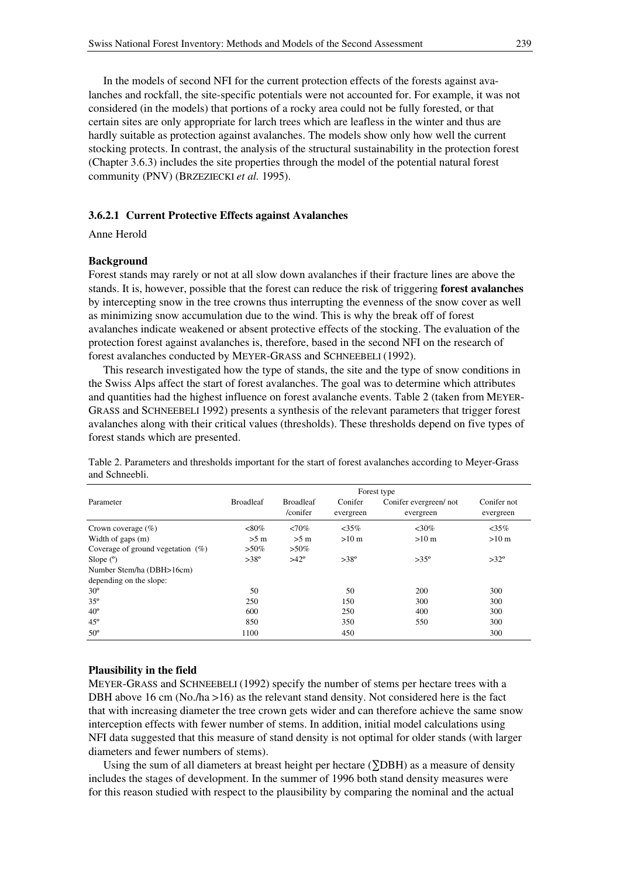In the models of second NFI for the current protection effects of the forests against avalanches and rockfall, the site-specific potentials were not accounted for. For example, it was not considered (in the models) that portions of a rocky area could not be fully forested, or that certain sites are only appropriate for larch trees which are leafless in the winter and thus are hardly suitable as protection against avalanches. The models show only how well the current stocking protects. In contrast, the analysis of the structural sustainability in the protection forest (Chapter 3.6.3) includes the site properties through the model of the potential natural forest community (PNV) (BRZEZIECKI *et al.* 1995).

### **3.6.2.1 Current Protective Effects against Avalanches**

Anne Herold

#### **Background**

Forest stands may rarely or not at all slow down avalanches if their fracture lines are above the stands. It is, however, possible that the forest can reduce the risk of triggering **forest avalanches** by intercepting snow in the tree crowns thus interrupting the evenness of the snow cover as well as minimizing snow accumulation due to the wind. This is why the break off of forest avalanches indicate weakened or absent protective effects of the stocking. The evaluation of the protection forest against avalanches is, therefore, based in the second NFI on the research of forest avalanches conducted by MEYER-GRASS and SCHNEEBELI (1992).

This research investigated how the type of stands, the site and the type of snow conditions in the Swiss Alps affect the start of forest avalanches. The goal was to determine which attributes and quantities had the highest influence on forest avalanche events. Table 2 (taken from MEYER-GRASS and SCHNEEBELI 1992) presents a synthesis of the relevant parameters that trigger forest avalanches along with their critical values (thresholds). These thresholds depend on five types of forest stands which are presented.

| Parameter                            | <b>Broadleaf</b> | <b>Broadleaf</b><br>/conifer | Conifer<br>evergreen | Conifer evergreen/not<br>evergreen | Conifer not<br>evergreen |
|--------------------------------------|------------------|------------------------------|----------------------|------------------------------------|--------------------------|
| Crown coverage $(\% )$               | $<80\%$          | ${5,70\%}$                   | $<35\%$              | $<30\%$                            | $<35\%$                  |
| Width of gaps (m)                    | $>5 \text{ m}$   | $>5 \text{ m}$               | $>10 \text{ m}$      | $>10 \text{ m}$                    | $>10 \text{ m}$          |
| Coverage of ground vegetation $(\%)$ | $>50\%$          | $>50\%$                      |                      |                                    |                          |
| Slope $(°)$                          | $>38^\circ$      | $>42^{\circ}$                | $>38^{\circ}$        | $>35^\circ$                        | $>32^{\circ}$            |
| Number Stem/ha (DBH>16cm)            |                  |                              |                      |                                    |                          |
| depending on the slope:              |                  |                              |                      |                                    |                          |
| $30^\circ$                           | 50               |                              | 50                   | 200                                | 300                      |
| $35^\circ$                           | 250              |                              | 150                  | 300                                | 300                      |
| $40^{\circ}$                         | 600              |                              | 250                  | 400                                | 300                      |
| $45^{\circ}$                         | 850              |                              | 350                  | 550                                | 300                      |
| $50^\circ$                           | 1100             |                              | 450                  |                                    | 300                      |

Table 2. Parameters and thresholds important for the start of forest avalanches according to Meyer-Grass and Schneebli.

### **Plausibility in the field**

MEYER-GRASS and SCHNEEBELI (1992) specify the number of stems per hectare trees with a DBH above 16 cm (No./ha >16) as the relevant stand density. Not considered here is the fact that with increasing diameter the tree crown gets wider and can therefore achieve the same snow interception effects with fewer number of stems. In addition, initial model calculations using NFI data suggested that this measure of stand density is not optimal for older stands (with larger diameters and fewer numbers of stems).

Using the sum of all diameters at breast height per hectare (∑DBH) as a measure of density includes the stages of development. In the summer of 1996 both stand density measures were for this reason studied with respect to the plausibility by comparing the nominal and the actual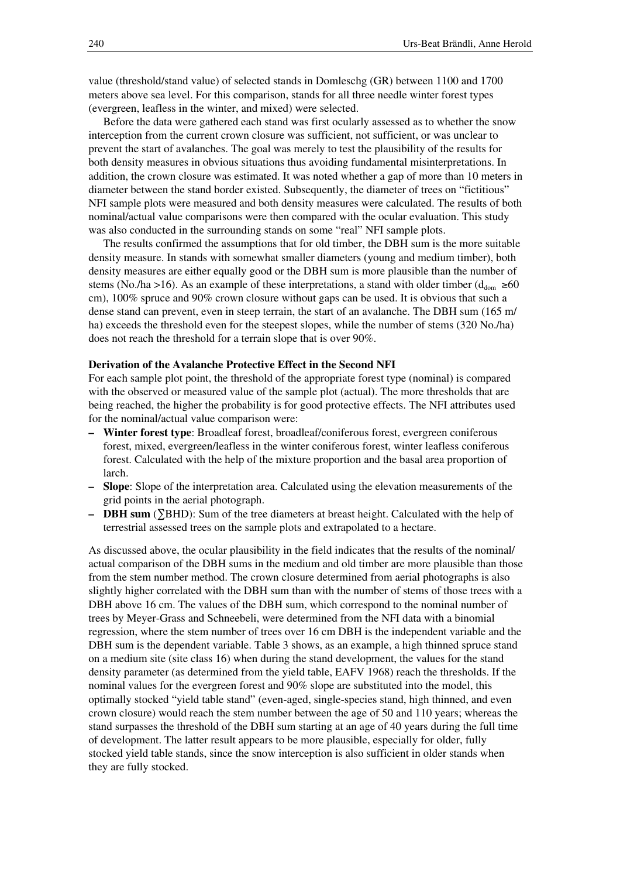value (threshold/stand value) of selected stands in Domleschg (GR) between 1100 and 1700 meters above sea level. For this comparison, stands for all three needle winter forest types (evergreen, leafless in the winter, and mixed) were selected.

Before the data were gathered each stand was first ocularly assessed as to whether the snow interception from the current crown closure was sufficient, not sufficient, or was unclear to prevent the start of avalanches. The goal was merely to test the plausibility of the results for both density measures in obvious situations thus avoiding fundamental misinterpretations. In addition, the crown closure was estimated. It was noted whether a gap of more than 10 meters in diameter between the stand border existed. Subsequently, the diameter of trees on "fictitious" NFI sample plots were measured and both density measures were calculated. The results of both nominal/actual value comparisons were then compared with the ocular evaluation. This study was also conducted in the surrounding stands on some "real" NFI sample plots.

The results confirmed the assumptions that for old timber, the DBH sum is the more suitable density measure. In stands with somewhat smaller diameters (young and medium timber), both density measures are either equally good or the DBH sum is more plausible than the number of stems (No./ha >16). As an example of these interpretations, a stand with older timber ( $d_{dom} \ge 60$ cm), 100% spruce and 90% crown closure without gaps can be used. It is obvious that such a dense stand can prevent, even in steep terrain, the start of an avalanche. The DBH sum (165 m/ ha) exceeds the threshold even for the steepest slopes, while the number of stems (320 No./ha) does not reach the threshold for a terrain slope that is over 90%.

### **Derivation of the Avalanche Protective Effect in the Second NFI**

For each sample plot point, the threshold of the appropriate forest type (nominal) is compared with the observed or measured value of the sample plot (actual). The more thresholds that are being reached, the higher the probability is for good protective effects. The NFI attributes used for the nominal/actual value comparison were:

- **– Winter forest type**: Broadleaf forest, broadleaf/coniferous forest, evergreen coniferous forest, mixed, evergreen/leafless in the winter coniferous forest, winter leafless coniferous forest. Calculated with the help of the mixture proportion and the basal area proportion of larch.
- **Slope**: Slope of the interpretation area. Calculated using the elevation measurements of the grid points in the aerial photograph.
- **DBH sum** (∑BHD): Sum of the tree diameters at breast height. Calculated with the help of terrestrial assessed trees on the sample plots and extrapolated to a hectare.

As discussed above, the ocular plausibility in the field indicates that the results of the nominal/ actual comparison of the DBH sums in the medium and old timber are more plausible than those from the stem number method. The crown closure determined from aerial photographs is also slightly higher correlated with the DBH sum than with the number of stems of those trees with a DBH above 16 cm. The values of the DBH sum, which correspond to the nominal number of trees by Meyer-Grass and Schneebeli, were determined from the NFI data with a binomial regression, where the stem number of trees over 16 cm DBH is the independent variable and the DBH sum is the dependent variable. Table 3 shows, as an example, a high thinned spruce stand on a medium site (site class 16) when during the stand development, the values for the stand density parameter (as determined from the yield table, EAFV 1968) reach the thresholds. If the nominal values for the evergreen forest and 90% slope are substituted into the model, this optimally stocked "yield table stand" (even-aged, single-species stand, high thinned, and even crown closure) would reach the stem number between the age of 50 and 110 years; whereas the stand surpasses the threshold of the DBH sum starting at an age of 40 years during the full time of development. The latter result appears to be more plausible, especially for older, fully stocked yield table stands, since the snow interception is also sufficient in older stands when they are fully stocked.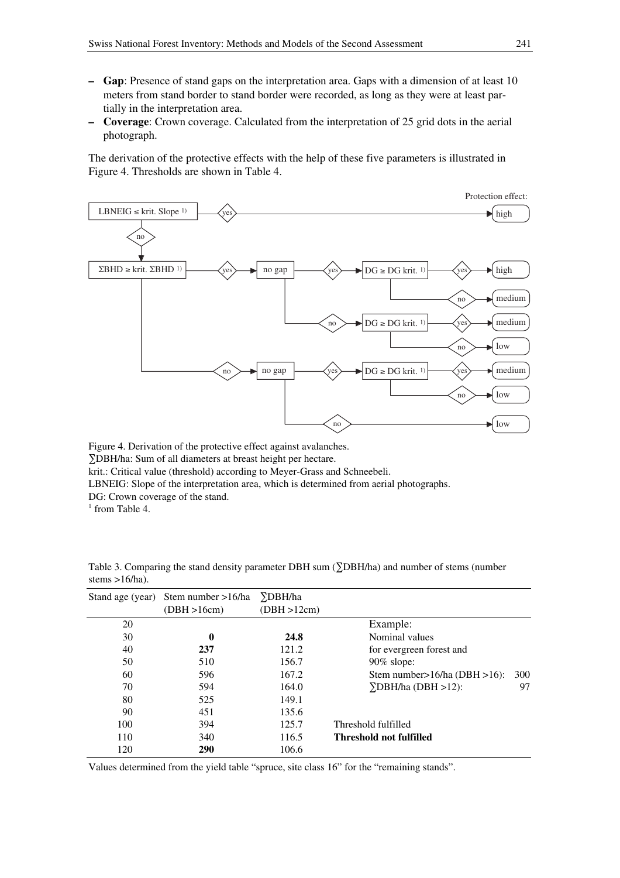- **Gap**: Presence of stand gaps on the interpretation area. Gaps with a dimension of at least 10 meters from stand border to stand border were recorded, as long as they were at least partially in the interpretation area.
- **Coverage**: Crown coverage. Calculated from the interpretation of 25 grid dots in the aerial photograph.

The derivation of the protective effects with the help of these five parameters is illustrated in Figure 4. Thresholds are shown in Table 4.



Figure 4. Derivation of the protective effect against avalanches. ∑DBH/ha: Sum of all diameters at breast height per hectare. krit.: Critical value (threshold) according to Meyer-Grass and Schneebeli. LBNEIG: Slope of the interpretation area, which is determined from aerial photographs. DG: Crown coverage of the stand. <sup>1</sup> from Table 4.

|     | Stand age (year) Stem number $>16/ha$<br>(DBH > 16cm) | <b>SDBH</b> /ha<br>(DBH > 12cm) |                                       |     |
|-----|-------------------------------------------------------|---------------------------------|---------------------------------------|-----|
| 20  |                                                       |                                 | Example:                              |     |
| 30  | $\mathbf{0}$                                          | 24.8                            | Nominal values                        |     |
| 40  | 237                                                   | 121.2                           | for evergreen forest and              |     |
| 50  | 510                                                   | 156.7                           | $90\%$ slope:                         |     |
| 60  | 596                                                   | 167.2                           | Stem number > $16$ /ha (DBH > $16$ ): | 300 |
| 70  | 594                                                   | 164.0                           | $\Sigma$ DBH/ha (DBH >12):            | 97  |
| 80  | 525                                                   | 149.1                           |                                       |     |
| 90  | 451                                                   | 135.6                           |                                       |     |
| 100 | 394                                                   | 125.7                           | Threshold fulfilled                   |     |
| 110 | 340                                                   | 116.5                           | <b>Threshold not fulfilled</b>        |     |
| 120 | <b>290</b>                                            | 106.6                           |                                       |     |
|     |                                                       |                                 |                                       |     |

Table 3. Comparing the stand density parameter DBH sum (∑DBH/ha) and number of stems (number stems >16/ha).

Values determined from the yield table "spruce, site class 16" for the "remaining stands".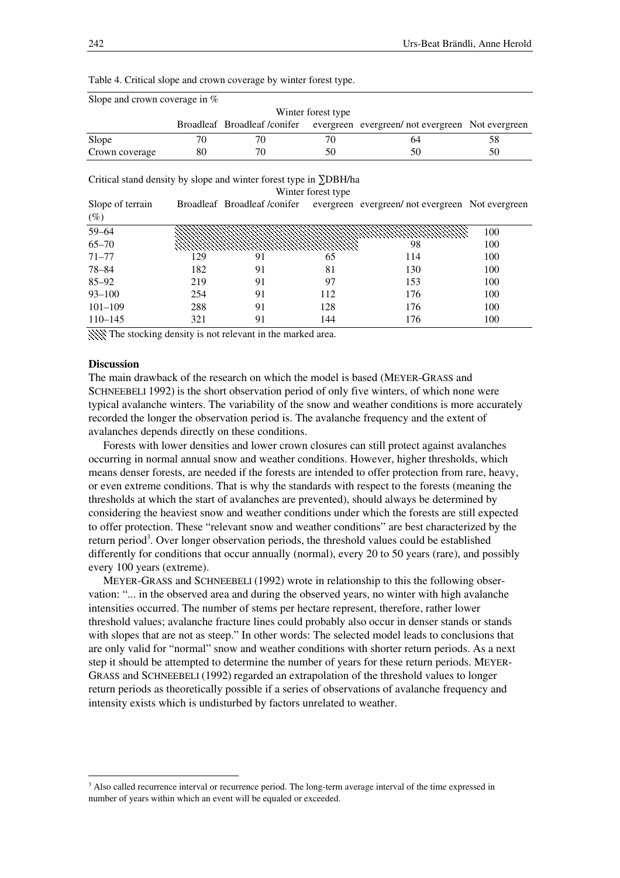Table 4. Critical slope and crown coverage by winter forest type.

| Slope and crown coverage in $\%$ |     |     |    |                                                                               |    |  |  |  |  |
|----------------------------------|-----|-----|----|-------------------------------------------------------------------------------|----|--|--|--|--|
| Winter forest type               |     |     |    |                                                                               |    |  |  |  |  |
|                                  |     |     |    | Broadleaf Broadleaf /conifer evergreen evergreen/ not evergreen Not evergreen |    |  |  |  |  |
| Slope                            | 70. |     | 70 | 64                                                                            | 58 |  |  |  |  |
| Crown coverage                   | 80  | 70. | 50 | 50                                                                            | 50 |  |  |  |  |

Critical stand density by slope and winter forest type in ∑DBH/ha

|                  |     |    | Winter forest type. |                                                                               |     |
|------------------|-----|----|---------------------|-------------------------------------------------------------------------------|-----|
| Slope of terrain |     |    |                     | Broadleaf Broadleaf /conifer evergreen evergreen/ not evergreen Not evergreen |     |
| $(\%)$           |     |    |                     |                                                                               |     |
| $59 - 64$        |     |    |                     |                                                                               | 100 |
| $65 - 70$        |     |    |                     | 98                                                                            | 100 |
| $71 - 77$        | 129 | 91 | 65                  | 114                                                                           | 100 |
| 78-84            | 182 | 91 | 81                  | 130                                                                           | 100 |
| $85 - 92$        | 219 | 91 | 97                  | 153                                                                           | 100 |
| $93 - 100$       | 254 | 91 | 112                 | 176                                                                           | 100 |
| $101 - 109$      | 288 | 91 | 128                 | 176                                                                           | 100 |
| $110 - 145$      | 321 | 91 | 144                 | 176                                                                           | 100 |

The stocking density is not relevant in the marked area.

# **Discussion**

 $\overline{a}$ 

The main drawback of the research on which the model is based (MEYER-GRASS and SCHNEEBELI 1992) is the short observation period of only five winters, of which none were typical avalanche winters. The variability of the snow and weather conditions is more accurately recorded the longer the observation period is. The avalanche frequency and the extent of avalanches depends directly on these conditions.

Forests with lower densities and lower crown closures can still protect against avalanches occurring in normal annual snow and weather conditions. However, higher thresholds, which means denser forests, are needed if the forests are intended to offer protection from rare, heavy, or even extreme conditions. That is why the standards with respect to the forests (meaning the thresholds at which the start of avalanches are prevented), should always be determined by considering the heaviest snow and weather conditions under which the forests are still expected to offer protection. These "relevant snow and weather conditions" are best characterized by the return period<sup>3</sup>. Over longer observation periods, the threshold values could be established differently for conditions that occur annually (normal), every 20 to 50 years (rare), and possibly every 100 years (extreme).

MEYER-GRASS and SCHNEEBELI (1992) wrote in relationship to this the following observation: "... in the observed area and during the observed years, no winter with high avalanche intensities occurred. The number of stems per hectare represent, therefore, rather lower threshold values; avalanche fracture lines could probably also occur in denser stands or stands with slopes that are not as steep." In other words: The selected model leads to conclusions that are only valid for "normal" snow and weather conditions with shorter return periods. As a next step it should be attempted to determine the number of years for these return periods. MEYER-GRASS and SCHNEEBELI (1992) regarded an extrapolation of the threshold values to longer return periods as theoretically possible if a series of observations of avalanche frequency and intensity exists which is undisturbed by factors unrelated to weather.

<sup>&</sup>lt;sup>3</sup> Also called recurrence interval or recurrence period. The long-term average interval of the time expressed in number of years within which an event will be equaled or exceeded.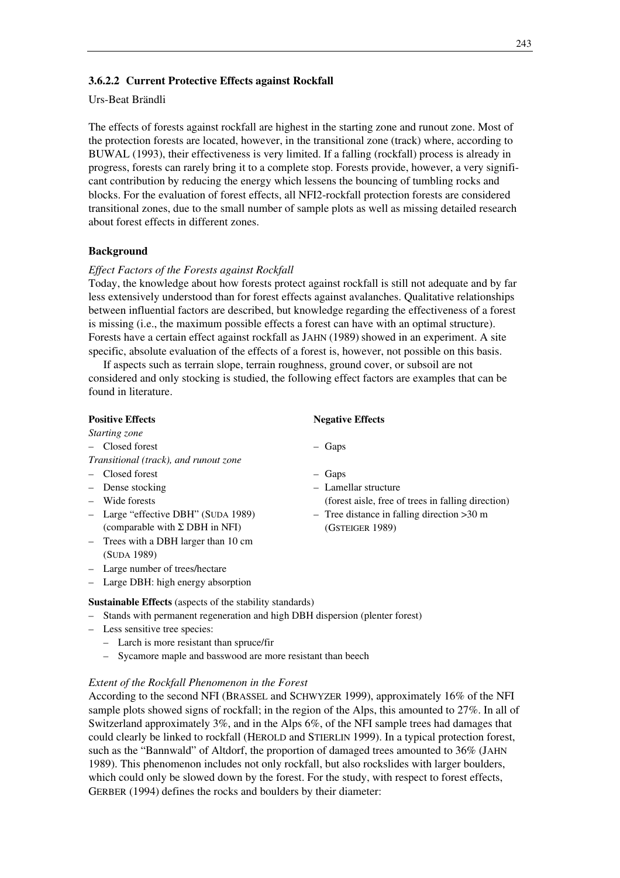# **3.6.2.2 Current Protective Effects against Rockfall**

# Urs-Beat Brändli

The effects of forests against rockfall are highest in the starting zone and runout zone. Most of the protection forests are located, however, in the transitional zone (track) where, according to BUWAL (1993), their effectiveness is very limited. If a falling (rockfall) process is already in progress, forests can rarely bring it to a complete stop. Forests provide, however, a very significant contribution by reducing the energy which lessens the bouncing of tumbling rocks and blocks. For the evaluation of forest effects, all NFI2-rockfall protection forests are considered transitional zones, due to the small number of sample plots as well as missing detailed research about forest effects in different zones.

# **Background**

# *Effect Factors of the Forests against Rockfall*

Today, the knowledge about how forests protect against rockfall is still not adequate and by far less extensively understood than for forest effects against avalanches. Qualitative relationships between influential factors are described, but knowledge regarding the effectiveness of a forest is missing (i.e., the maximum possible effects a forest can have with an optimal structure). Forests have a certain effect against rockfall as JAHN (1989) showed in an experiment. A site specific, absolute evaluation of the effects of a forest is, however, not possible on this basis.

If aspects such as terrain slope, terrain roughness, ground cover, or subsoil are not considered and only stocking is studied, the following effect factors are examples that can be found in literature.

| <b>Positive Effects</b>                  | <b>Negative Effects</b>                            |  |  |  |  |  |
|------------------------------------------|----------------------------------------------------|--|--|--|--|--|
| Starting zone                            |                                                    |  |  |  |  |  |
| - Closed forest                          | - Gaps                                             |  |  |  |  |  |
| Transitional (track), and runout zone    |                                                    |  |  |  |  |  |
| - Closed forest                          | $-$ Gaps                                           |  |  |  |  |  |
| - Dense stocking                         | - Lamellar structure                               |  |  |  |  |  |
| Wide forests<br>$\overline{\phantom{0}}$ | (forest aisle, free of trees in falling direction) |  |  |  |  |  |
| - Large "effective DBH" (SUDA 1989)      | $-$ Tree distance in falling direction $>30$ m     |  |  |  |  |  |
| (comparable with $\Sigma$ DBH in NFI)    | (GSTEIGER 1989)                                    |  |  |  |  |  |
| - Trees with a DBH larger than 10 cm     |                                                    |  |  |  |  |  |
| (SUDA 1989)                              |                                                    |  |  |  |  |  |
| - Large number of trees/hectare          |                                                    |  |  |  |  |  |
| - Large DBH: high energy absorption      |                                                    |  |  |  |  |  |
|                                          |                                                    |  |  |  |  |  |

#### **Sustainable Effects** (aspects of the stability standards)

- Stands with permanent regeneration and high DBH dispersion (plenter forest)
- Less sensitive tree species:
	- Larch is more resistant than spruce/fir
	- Sycamore maple and basswood are more resistant than beech

### *Extent of the Rockfall Phenomenon in the Forest*

According to the second NFI (BRASSEL and SCHWYZER 1999), approximately 16% of the NFI sample plots showed signs of rockfall; in the region of the Alps, this amounted to 27%. In all of Switzerland approximately 3%, and in the Alps 6%, of the NFI sample trees had damages that could clearly be linked to rockfall (HEROLD and STIERLIN 1999). In a typical protection forest, such as the "Bannwald" of Altdorf, the proportion of damaged trees amounted to 36% (JAHN 1989). This phenomenon includes not only rockfall, but also rockslides with larger boulders, which could only be slowed down by the forest. For the study, with respect to forest effects, GERBER (1994) defines the rocks and boulders by their diameter: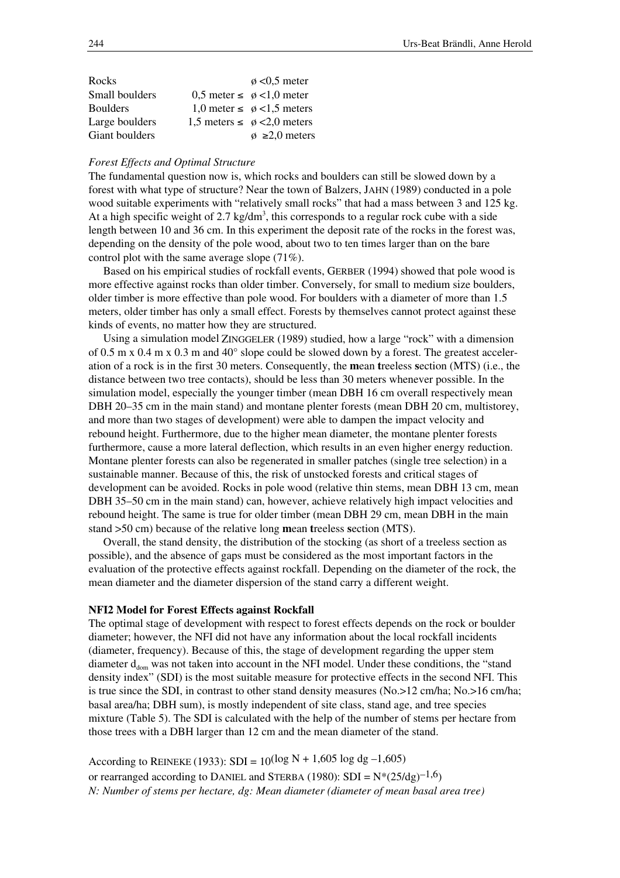| Rocks           | $\phi$ <0.5 meter                        |
|-----------------|------------------------------------------|
| Small boulders  | 0.5 meter $\leq \varnothing$ <1.0 meter  |
| <b>Boulders</b> | 1,0 meter $\leq \varnothing$ <1,5 meters |
| Large boulders  | 1,5 meters $\leq \varphi < 2.0$ meters   |
| Giant boulders  | $\varphi \geq 2.0$ meters                |

#### *Forest Effects and Optimal Structure*

The fundamental question now is, which rocks and boulders can still be slowed down by a forest with what type of structure? Near the town of Balzers, JAHN (1989) conducted in a pole wood suitable experiments with "relatively small rocks" that had a mass between 3 and 125 kg. At a high specific weight of 2.7 kg/dm<sup>3</sup>, this corresponds to a regular rock cube with a side length between 10 and 36 cm. In this experiment the deposit rate of the rocks in the forest was, depending on the density of the pole wood, about two to ten times larger than on the bare control plot with the same average slope (71%).

Based on his empirical studies of rockfall events, GERBER (1994) showed that pole wood is more effective against rocks than older timber. Conversely, for small to medium size boulders, older timber is more effective than pole wood. For boulders with a diameter of more than 1.5 meters, older timber has only a small effect. Forests by themselves cannot protect against these kinds of events, no matter how they are structured.

Using a simulation model ZINGGELER (1989) studied, how a large "rock" with a dimension of 0.5 m x 0.4 m x 0.3 m and  $40^{\circ}$  slope could be slowed down by a forest. The greatest acceleration of a rock is in the first 30 meters. Consequently, the **m**ean **t**reeless **s**ection (MTS) (i.e., the distance between two tree contacts), should be less than 30 meters whenever possible. In the simulation model, especially the younger timber (mean DBH 16 cm overall respectively mean DBH 20–35 cm in the main stand) and montane plenter forests (mean DBH 20 cm, multistorey, and more than two stages of development) were able to dampen the impact velocity and rebound height. Furthermore, due to the higher mean diameter, the montane plenter forests furthermore, cause a more lateral deflection, which results in an even higher energy reduction. Montane plenter forests can also be regenerated in smaller patches (single tree selection) in a sustainable manner. Because of this, the risk of unstocked forests and critical stages of development can be avoided. Rocks in pole wood (relative thin stems, mean DBH 13 cm, mean DBH 35–50 cm in the main stand) can, however, achieve relatively high impact velocities and rebound height. The same is true for older timber (mean DBH 29 cm, mean DBH in the main stand >50 cm) because of the relative long **m**ean **t**reeless **s**ection (MTS).

Overall, the stand density, the distribution of the stocking (as short of a treeless section as possible), and the absence of gaps must be considered as the most important factors in the evaluation of the protective effects against rockfall. Depending on the diameter of the rock, the mean diameter and the diameter dispersion of the stand carry a different weight.

### **NFI2 Model for Forest Effects against Rockfall**

The optimal stage of development with respect to forest effects depends on the rock or boulder diameter; however, the NFI did not have any information about the local rockfall incidents (diameter, frequency). Because of this, the stage of development regarding the upper stem diameter  $d_{dom}$  was not taken into account in the NFI model. Under these conditions, the "stand density index" (SDI) is the most suitable measure for protective effects in the second NFI. This is true since the SDI, in contrast to other stand density measures (No.>12 cm/ha; No.>16 cm/ha; basal area/ha; DBH sum), is mostly independent of site class, stand age, and tree species mixture (Table 5). The SDI is calculated with the help of the number of stems per hectare from those trees with a DBH larger than 12 cm and the mean diameter of the stand.

According to REINEKE (1933): SDI =  $10^{(\log N + 1,605 \log dg - 1,605)}$ or rearranged according to DANIEL and STERBA (1980): SDI =  $N*(25/\text{dg})^{-1,6}$ ) *N: Number of stems per hectare, dg: Mean diameter (diameter of mean basal area tree)*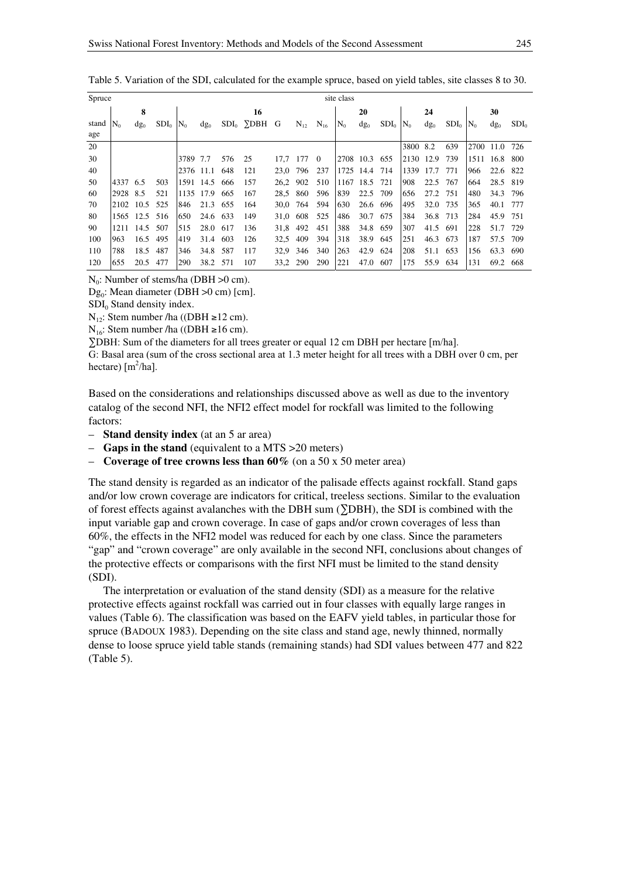| Spruce | site class    |               |         |          |           |     |                        |          |          |          |       |               |         |                |          |         |       |           |         |
|--------|---------------|---------------|---------|----------|-----------|-----|------------------------|----------|----------|----------|-------|---------------|---------|----------------|----------|---------|-------|-----------|---------|
|        |               | 8             |         |          |           |     | 16                     |          |          |          |       | 20            |         |                | 24       |         |       | 30        |         |
| stand  | $N_0$         | $dg_0$        | $SDI_0$ | $N_{0}$  | $dg_0$    |     | $SDI_0$ $\Sigma DBH$ G |          | $N_{12}$ | $N_{16}$ | $N_0$ | $dg_0$        | $SDI_0$ | $\mathbf{N}_0$ | $dg_0$   | $SDI_0$ | $N_0$ | $dg_0$    | $SDI_0$ |
| age    |               |               |         |          |           |     |                        |          |          |          |       |               |         |                |          |         |       |           |         |
| 20     |               |               |         |          |           |     |                        |          |          |          |       |               |         | 3800           | 8.2      | 639     |       | 2700 11.0 | -726    |
| 30     |               |               |         | 3789 7.7 |           | 576 | 25                     | 17.7 177 |          | $\theta$ |       | 2708 10.3 655 |         | 2130 12.9      |          | 739     | 1511  | 16.8 800  |         |
| 40     |               |               |         |          | 2376 11.1 | 648 | 121                    | 23.0     | 796      | 237      |       | 1725 14.4 714 |         | 1339           | 17.7     | 771     | 966   | 22.6 822  |         |
| 50     | 4337 6.5      |               | 503     |          | 1591 14.5 | 666 | 157                    | 26,2     | 902      | 510      |       | 1167 18.5 721 |         | 908            | 22.5     | -767    | 664   | 28.5 819  |         |
| 60     | 2928 8.5      |               | 521     |          | 1135 17.9 | 665 | 167                    | 28.5     | 860      | 596      | 839   | 22.5 709      |         | 656            | 27.2 751 |         | 480   | 34.3 796  |         |
| 70     | 2102 10.5 525 |               |         | 846      | 21.3 655  |     | 164                    | 30.0     | 764      | 594      | 630   | 26.6 696      |         | 495            | 32.0 735 |         | 365   | 40.1 777  |         |
| 80     |               | 1565 12.5 516 |         | 650      | 24.6      | 633 | 149                    | 31,0     | 608      | 525      | 486   | 30.7          | 675     | 384            | 36.8     | 713     | 284   | 45.9 751  |         |
| 90     | 1211          | 14.5 507      |         | 515      | 28.0      | 617 | 136                    | 31.8     | 492      | 451      | 388   | 34.8 659      |         | 307            | 41.5     | 691     | 228   | 51.7 729  |         |
| 100    | 963           | 16.5 495      |         | 419      | 31.4      | 603 | 126                    | 32,5     | 409      | 394      | 318   | 38.9 645      |         | 251            | 46.3     | 673     | 187   | 57.5 709  |         |
| 110    | 788           | 18.5 487      |         | 346      | 34.8      | 587 | 117                    | 32.9     | 346      | 340      | 263   | 42.9          | 624     | 208            | 51.1     | 653     | 156   | 63.3 690  |         |
| 120    | 655           | 20.5 477      |         | 290      | 38.2      | 571 | 107                    |          | 33.2 290 | 290      | 221   | 47.0          | 607     | 175            | 55.9     | 634     | 131   | 69.2 668  |         |

Table 5. Variation of the SDI, calculated for the example spruce, based on yield tables, site classes 8 to 30.

 $N_0$ : Number of stems/ha (DBH > 0 cm).

 $Dg_0$ : Mean diameter (DBH > 0 cm) [cm].

SDI<sub>0</sub> Stand density index.

 $N_{12}$ : Stem number /ha ((DBH ≥12 cm).

 $N_{16}$ : Stem number /ha ((DBH ≥16 cm).

∑DBH: Sum of the diameters for all trees greater or equal 12 cm DBH per hectare [m/ha].

G: Basal area (sum of the cross sectional area at 1.3 meter height for all trees with a DBH over 0 cm, per hectare)  $[m^2/ha]$ .

Based on the considerations and relationships discussed above as well as due to the inventory catalog of the second NFI, the NFI2 effect model for rockfall was limited to the following factors:

– **Stand density index** (at an 5 ar area)

– **Gaps in the stand** (equivalent to a MTS >20 meters)

– **Coverage of tree crowns less than 60%** (on a 50 x 50 meter area)

The stand density is regarded as an indicator of the palisade effects against rockfall. Stand gaps and/or low crown coverage are indicators for critical, treeless sections. Similar to the evaluation of forest effects against avalanches with the DBH sum (∑DBH), the SDI is combined with the input variable gap and crown coverage. In case of gaps and/or crown coverages of less than 60%, the effects in the NFI2 model was reduced for each by one class. Since the parameters "gap" and "crown coverage" are only available in the second NFI, conclusions about changes of the protective effects or comparisons with the first NFI must be limited to the stand density (SDI).

The interpretation or evaluation of the stand density (SDI) as a measure for the relative protective effects against rockfall was carried out in four classes with equally large ranges in values (Table 6). The classification was based on the EAFV yield tables, in particular those for spruce (BADOUX 1983). Depending on the site class and stand age, newly thinned, normally dense to loose spruce yield table stands (remaining stands) had SDI values between 477 and 822 (Table 5).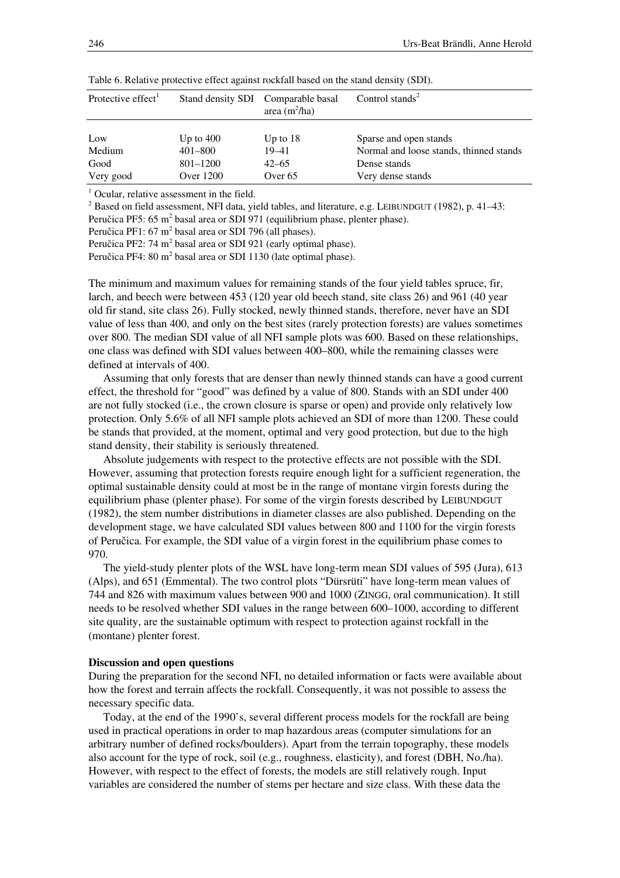| Protective effect <sup>1</sup> | Stand density SDI Comparable basal<br>area $(m^2/ha)$ |                    | Control stands <sup>2</sup>             |
|--------------------------------|-------------------------------------------------------|--------------------|-----------------------------------------|
| Low                            | Up to $400$                                           | Up to $18$         | Sparse and open stands                  |
| Medium                         | $401 - 800$                                           | $19 - 41$          | Normal and loose stands, thinned stands |
| Good                           | 801-1200                                              | $42 - 65$          | Dense stands                            |
| Very good                      | Over 1200                                             | Over <sub>65</sub> | Very dense stands                       |

Table 6. Relative protective effect against rockfall based on the stand density (SDI).

<sup>1</sup> Ocular, relative assessment in the field.

 $^2$  Based on field assessment, NFI data, yield tables, and literature, e.g. LEIBUNDGUT (1982), p. 41–43: Peručica PF5: 65 m<sup>2</sup> basal area or SDI 971 (equilibrium phase, plenter phase).

Peručica PF1: 67 m<sup>2</sup> basal area or SDI 796 (all phases).

Peručica PF2: 74 m<sup>2</sup> basal area or SDI 921 (early optimal phase).

Peručica PF4: 80 m<sup>2</sup> basal area or SDI 1130 (late optimal phase).

The minimum and maximum values for remaining stands of the four yield tables spruce, fir, larch, and beech were between 453 (120 year old beech stand, site class 26) and 961 (40 year old fir stand, site class 26). Fully stocked, newly thinned stands, therefore, never have an SDI value of less than 400, and only on the best sites (rarely protection forests) are values sometimes over 800. The median SDI value of all NFI sample plots was 600. Based on these relationships, one class was defined with SDI values between 400–800, while the remaining classes were defined at intervals of 400.

Assuming that only forests that are denser than newly thinned stands can have a good current effect, the threshold for "good" was defined by a value of 800. Stands with an SDI under 400 are not fully stocked (i.e., the crown closure is sparse or open) and provide only relatively low protection. Only 5.6% of all NFI sample plots achieved an SDI of more than 1200. These could be stands that provided, at the moment, optimal and very good protection, but due to the high stand density, their stability is seriously threatened.

Absolute judgements with respect to the protective effects are not possible with the SDI. However, assuming that protection forests require enough light for a sufficient regeneration, the optimal sustainable density could at most be in the range of montane virgin forests during the equilibrium phase (plenter phase). For some of the virgin forests described by LEIBUNDGUT (1982), the stem number distributions in diameter classes are also published. Depending on the development stage, we have calculated SDI values between 800 and 1100 for the virgin forests of Perucica. For example, the SDI value of a virgin forest in the equilibrium phase comes to 970.

The yield-study plenter plots of the WSL have long-term mean SDI values of 595 (Jura), 613 (Alps), and 651 (Emmental). The two control plots "Dürsrüti" have long-term mean values of 744 and 826 with maximum values between 900 and 1000 (ZINGG, oral communication). It still needs to be resolved whether SDI values in the range between 600–1000, according to different site quality, are the sustainable optimum with respect to protection against rockfall in the (montane) plenter forest.

#### **Discussion and open questions**

During the preparation for the second NFI, no detailed information or facts were available about how the forest and terrain affects the rockfall. Consequently, it was not possible to assess the necessary specific data.

Today, at the end of the 1990's, several different process models for the rockfall are being used in practical operations in order to map hazardous areas (computer simulations for an arbitrary number of defined rocks/boulders). Apart from the terrain topography, these models also account for the type of rock, soil (e.g., roughness, elasticity), and forest (DBH, No./ha). However, with respect to the effect of forests, the models are still relatively rough. Input variables are considered the number of stems per hectare and size class. With these data the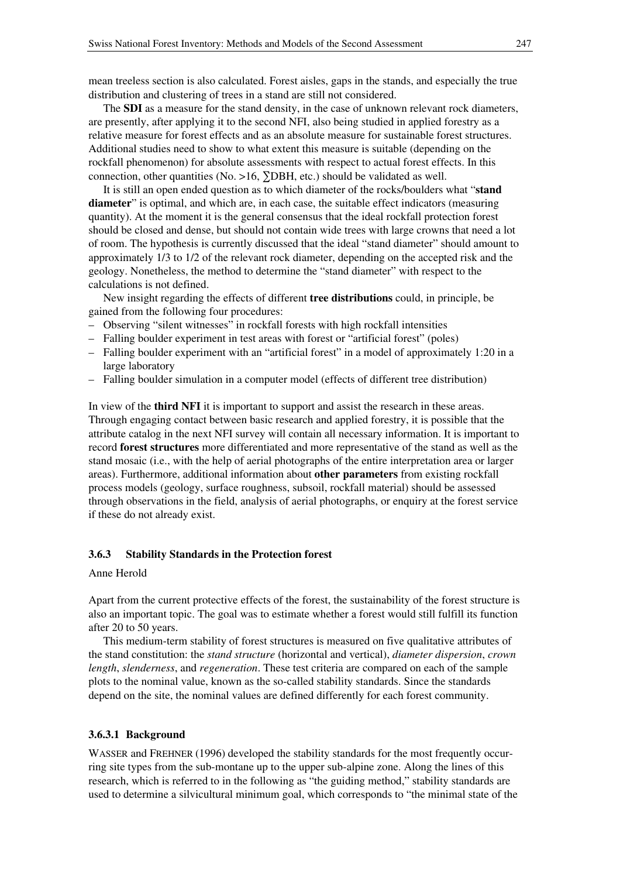mean treeless section is also calculated. Forest aisles, gaps in the stands, and especially the true distribution and clustering of trees in a stand are still not considered.

The **SDI** as a measure for the stand density, in the case of unknown relevant rock diameters, are presently, after applying it to the second NFI, also being studied in applied forestry as a relative measure for forest effects and as an absolute measure for sustainable forest structures. Additional studies need to show to what extent this measure is suitable (depending on the rockfall phenomenon) for absolute assessments with respect to actual forest effects. In this connection, other quantities (No. >16,  $\Sigma$ DBH, etc.) should be validated as well.

It is still an open ended question as to which diameter of the rocks/boulders what "**stand diameter**" is optimal, and which are, in each case, the suitable effect indicators (measuring quantity). At the moment it is the general consensus that the ideal rockfall protection forest should be closed and dense, but should not contain wide trees with large crowns that need a lot of room. The hypothesis is currently discussed that the ideal "stand diameter" should amount to approximately 1/3 to 1/2 of the relevant rock diameter, depending on the accepted risk and the geology. Nonetheless, the method to determine the "stand diameter" with respect to the calculations is not defined.

New insight regarding the effects of different **tree distributions** could, in principle, be gained from the following four procedures:

- Observing "silent witnesses" in rockfall forests with high rockfall intensities
- Falling boulder experiment in test areas with forest or "artificial forest" (poles)
- Falling boulder experiment with an "artificial forest" in a model of approximately 1:20 in a large laboratory
- Falling boulder simulation in a computer model (effects of different tree distribution)

In view of the **third NFI** it is important to support and assist the research in these areas. Through engaging contact between basic research and applied forestry, it is possible that the attribute catalog in the next NFI survey will contain all necessary information. It is important to record **forest structures** more differentiated and more representative of the stand as well as the stand mosaic (i.e., with the help of aerial photographs of the entire interpretation area or larger areas). Furthermore, additional information about **other parameters** from existing rockfall process models (geology, surface roughness, subsoil, rockfall material) should be assessed through observations in the field, analysis of aerial photographs, or enquiry at the forest service if these do not already exist.

# **3.6.3 Stability Standards in the Protection forest**

# Anne Herold

Apart from the current protective effects of the forest, the sustainability of the forest structure is also an important topic. The goal was to estimate whether a forest would still fulfill its function after 20 to 50 years.

This medium-term stability of forest structures is measured on five qualitative attributes of the stand constitution: the *stand structure* (horizontal and vertical), *diameter dispersion*, *crown length*, *slenderness*, and *regeneration*. These test criteria are compared on each of the sample plots to the nominal value, known as the so-called stability standards. Since the standards depend on the site, the nominal values are defined differently for each forest community.

### **3.6.3.1 Background**

WASSER and FREHNER (1996) developed the stability standards for the most frequently occurring site types from the sub-montane up to the upper sub-alpine zone. Along the lines of this research, which is referred to in the following as "the guiding method," stability standards are used to determine a silvicultural minimum goal, which corresponds to "the minimal state of the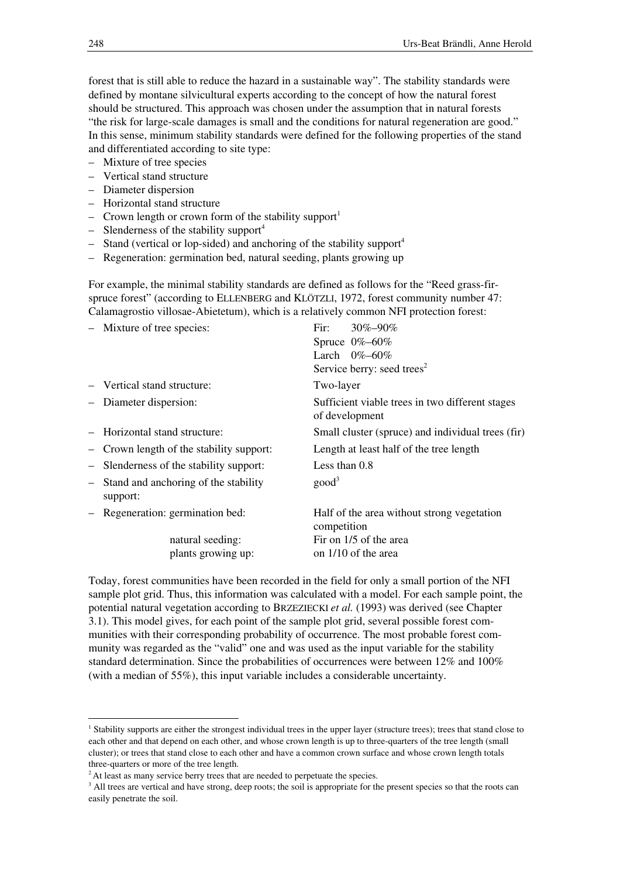forest that is still able to reduce the hazard in a sustainable way". The stability standards were defined by montane silvicultural experts according to the concept of how the natural forest should be structured. This approach was chosen under the assumption that in natural forests "the risk for large-scale damages is small and the conditions for natural regeneration are good." In this sense, minimum stability standards were defined for the following properties of the stand and differentiated according to site type:

- Mixture of tree species
- Vertical stand structure
- Diameter dispersion
- Horizontal stand structure
- Crown length or crown form of the stability support<sup>1</sup>
- Slenderness of the stability support<sup>4</sup>
- Stand (vertical or lop-sided) and anchoring of the stability support<sup>4</sup>
- Regeneration: germination bed, natural seeding, plants growing up

For example, the minimal stability standards are defined as follows for the "Reed grass-firspruce forest" (according to ELLENBERG and KLÖTZLI, 1972, forest community number 47: Calamagrostio villosae-Abietetum), which is a relatively common NFI protection forest:

| - Mixture of tree species:                       | $30\% - 90\%$<br>Fir:                                             |  |  |  |  |
|--------------------------------------------------|-------------------------------------------------------------------|--|--|--|--|
|                                                  | Spruce $0\% - 60\%$                                               |  |  |  |  |
|                                                  | Larch $0\% - 60\%$                                                |  |  |  |  |
|                                                  | Service berry: seed trees <sup>2</sup>                            |  |  |  |  |
| - Vertical stand structure:                      | Two-layer                                                         |  |  |  |  |
| - Diameter dispersion:                           | Sufficient viable trees in two different stages<br>of development |  |  |  |  |
| - Horizontal stand structure:                    | Small cluster (spruce) and individual trees (fir)                 |  |  |  |  |
| Crown length of the stability support:           | Length at least half of the tree length                           |  |  |  |  |
| Slenderness of the stability support:            | Less than $0.8$                                                   |  |  |  |  |
| Stand and anchoring of the stability<br>support: | good <sup>3</sup>                                                 |  |  |  |  |
| - Regeneration: germination bed:                 | Half of the area without strong vegetation<br>competition         |  |  |  |  |
| natural seeding:                                 | Fir on 1/5 of the area                                            |  |  |  |  |
| plants growing up:                               | on 1/10 of the area                                               |  |  |  |  |
|                                                  |                                                                   |  |  |  |  |

Today, forest communities have been recorded in the field for only a small portion of the NFI sample plot grid. Thus, this information was calculated with a model. For each sample point, the potential natural vegetation according to BRZEZIECKI *et al.* (1993) was derived (see Chapter 3.1). This model gives, for each point of the sample plot grid, several possible forest communities with their corresponding probability of occurrence. The most probable forest community was regarded as the "valid" one and was used as the input variable for the stability standard determination. Since the probabilities of occurrences were between 12% and 100% (with a median of 55%), this input variable includes a considerable uncertainty.

 $\overline{a}$ 

<sup>&</sup>lt;sup>1</sup> Stability supports are either the strongest individual trees in the upper layer (structure trees); trees that stand close to each other and that depend on each other, and whose crown length is up to three-quarters of the tree length (small cluster); or trees that stand close to each other and have a common crown surface and whose crown length totals three-quarters or more of the tree length.

<sup>&</sup>lt;sup>2</sup> At least as many service berry trees that are needed to perpetuate the species.

<sup>&</sup>lt;sup>3</sup> All trees are vertical and have strong, deep roots; the soil is appropriate for the present species so that the roots can easily penetrate the soil.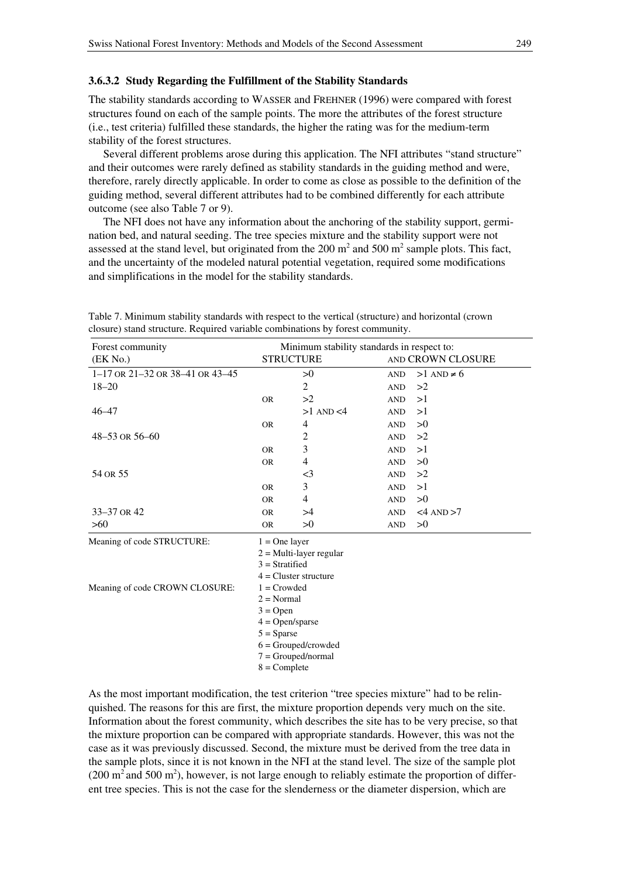# **3.6.3.2 Study Regarding the Fulfillment of the Stability Standards**

The stability standards according to WASSER and FREHNER (1996) were compared with forest structures found on each of the sample points. The more the attributes of the forest structure (i.e., test criteria) fulfilled these standards, the higher the rating was for the medium-term stability of the forest structures.

Several different problems arose during this application. The NFI attributes "stand structure" and their outcomes were rarely defined as stability standards in the guiding method and were, therefore, rarely directly applicable. In order to come as close as possible to the definition of the guiding method, several different attributes had to be combined differently for each attribute outcome (see also Table 7 or 9).

The NFI does not have any information about the anchoring of the stability support, germination bed, and natural seeding. The tree species mixture and the stability support were not assessed at the stand level, but originated from the  $200 \text{ m}^2$  and  $500 \text{ m}^2$  sample plots. This fact, and the uncertainty of the modeled natural potential vegetation, required some modifications and simplifications in the model for the stability standards.

| Forest community                                             | Minimum stability standards in respect to:                                                                                                |                                                                                                       |            |                   |
|--------------------------------------------------------------|-------------------------------------------------------------------------------------------------------------------------------------------|-------------------------------------------------------------------------------------------------------|------------|-------------------|
| (EK No.)                                                     | <b>STRUCTURE</b>                                                                                                                          |                                                                                                       |            | AND CROWN CLOSURE |
| $1-17$ OR $21-32$ OR $38-41$ OR $43-45$                      |                                                                                                                                           | >0                                                                                                    | <b>AND</b> | $>1$ AND $\neq 6$ |
| $18 - 20$                                                    |                                                                                                                                           | 2                                                                                                     | AND        | >2                |
|                                                              | <b>OR</b>                                                                                                                                 | >2                                                                                                    | <b>AND</b> | >1                |
| $46 - 47$                                                    |                                                                                                                                           | $>1$ AND $<$ 4                                                                                        | <b>AND</b> | >1                |
|                                                              | <b>OR</b>                                                                                                                                 | 4                                                                                                     | <b>AND</b> | >0                |
| $48 - 53$ OR $56 - 60$                                       |                                                                                                                                           | 2                                                                                                     | <b>AND</b> | >2                |
|                                                              | <b>OR</b>                                                                                                                                 | 3                                                                                                     | <b>AND</b> | >1                |
|                                                              | <b>OR</b>                                                                                                                                 | 4                                                                                                     | <b>AND</b> | >0                |
| 54 OR 55                                                     |                                                                                                                                           | $\leq$ 3                                                                                              | <b>AND</b> | >2                |
|                                                              | <b>OR</b>                                                                                                                                 | 3                                                                                                     | <b>AND</b> | >1                |
|                                                              | <b>OR</b>                                                                                                                                 | 4                                                                                                     | <b>AND</b> | >0                |
| $33 - 37$ OR 42                                              | <b>OR</b>                                                                                                                                 | >4                                                                                                    | AND        | $<4$ AND $>7$     |
| >60                                                          | <b>OR</b>                                                                                                                                 | >0                                                                                                    | <b>AND</b> | >0                |
| Meaning of code STRUCTURE:<br>Meaning of code CROWN CLOSURE: | $1 = One layer$<br>$3 =$ Stratified<br>$1 =$ Crowded<br>$2 = Normal$<br>$3 = Open$<br>$4 = Open/sparse$<br>$5 =$ Sparse<br>$8 =$ Complete | $2 = Multi-layer regular$<br>$4$ = Cluster structure<br>$6 =$ Grouped/crowded<br>$7 =$ Grouped/normal |            |                   |

Table 7. Minimum stability standards with respect to the vertical (structure) and horizontal (crown closure) stand structure. Required variable combinations by forest community.

As the most important modification, the test criterion "tree species mixture" had to be relinquished. The reasons for this are first, the mixture proportion depends very much on the site. Information about the forest community, which describes the site has to be very precise, so that the mixture proportion can be compared with appropriate standards. However, this was not the case as it was previously discussed. Second, the mixture must be derived from the tree data in the sample plots, since it is not known in the NFI at the stand level. The size of the sample plot  $(200 \text{ m}^2 \text{ and } 500 \text{ m}^2)$ , however, is not large enough to reliably estimate the proportion of different tree species. This is not the case for the slenderness or the diameter dispersion, which are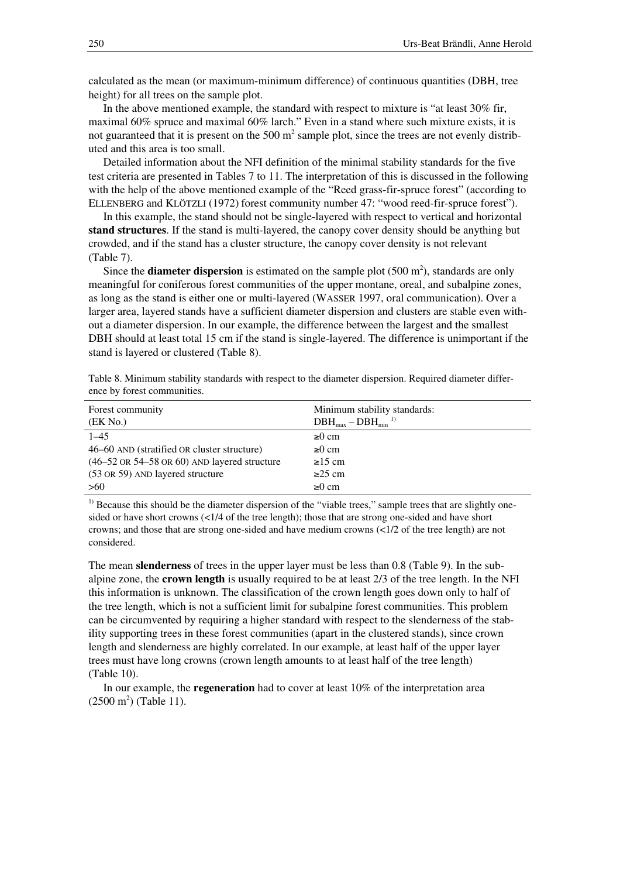calculated as the mean (or maximum-minimum difference) of continuous quantities (DBH, tree height) for all trees on the sample plot.

In the above mentioned example, the standard with respect to mixture is "at least 30% fir, maximal 60% spruce and maximal 60% larch." Even in a stand where such mixture exists, it is not guaranteed that it is present on the  $500 \text{ m}^2$  sample plot, since the trees are not evenly distributed and this area is too small.

Detailed information about the NFI definition of the minimal stability standards for the five test criteria are presented in Tables 7 to 11. The interpretation of this is discussed in the following with the help of the above mentioned example of the "Reed grass-fir-spruce forest" (according to ELLENBERG and KLÖTZLI (1972) forest community number 47: "wood reed-fir-spruce forest").

In this example, the stand should not be single-layered with respect to vertical and horizontal **stand structures**. If the stand is multi-layered, the canopy cover density should be anything but crowded, and if the stand has a cluster structure, the canopy cover density is not relevant (Table 7).

Since the **diameter dispersion** is estimated on the sample plot  $(500 \text{ m}^2)$ , standards are only meaningful for coniferous forest communities of the upper montane, oreal, and subalpine zones, as long as the stand is either one or multi-layered (WASSER 1997, oral communication). Over a larger area, layered stands have a sufficient diameter dispersion and clusters are stable even without a diameter dispersion. In our example, the difference between the largest and the smallest DBH should at least total 15 cm if the stand is single-layered. The difference is unimportant if the stand is layered or clustered (Table 8).

| Table 8. Minimum stability standards with respect to the diameter dispersion. Required diameter differ- |  |
|---------------------------------------------------------------------------------------------------------|--|
| ence by forest communities.                                                                             |  |
|                                                                                                         |  |

| Forest community<br>(EK No.)                                     | Minimum stability standards:<br>$DBH_{\text{max}} - DBH_{\text{min}}$ <sup>1)</sup> |
|------------------------------------------------------------------|-------------------------------------------------------------------------------------|
| $1 - 45$                                                         | $\geq 0$ cm                                                                         |
| 46–60 AND (stratified OR cluster structure)                      | $\geq 0$ cm                                                                         |
| $(46-52 \text{ OR } 54-58 \text{ OR } 60)$ AND layered structure | $\geq 15$ cm                                                                        |
| (53 OR 59) AND layered structure                                 | $\geq$ 25 cm                                                                        |
| >60                                                              | $\geq 0$ cm                                                                         |

<sup>1)</sup> Because this should be the diameter dispersion of the "viable trees," sample trees that are slightly onesided or have short crowns  $\left\langle \langle 1/4 \rangle \right\rangle$  of the tree length); those that are strong one-sided and have short crowns; and those that are strong one-sided and have medium crowns (<1/2 of the tree length) are not considered.

The mean **slenderness** of trees in the upper layer must be less than 0.8 (Table 9). In the subalpine zone, the **crown length** is usually required to be at least 2/3 of the tree length. In the NFI this information is unknown. The classification of the crown length goes down only to half of the tree length, which is not a sufficient limit for subalpine forest communities. This problem can be circumvented by requiring a higher standard with respect to the slenderness of the stability supporting trees in these forest communities (apart in the clustered stands), since crown length and slenderness are highly correlated. In our example, at least half of the upper layer trees must have long crowns (crown length amounts to at least half of the tree length) (Table 10).

In our example, the **regeneration** had to cover at least 10% of the interpretation area  $(2500 \text{ m}^2)$  (Table 11).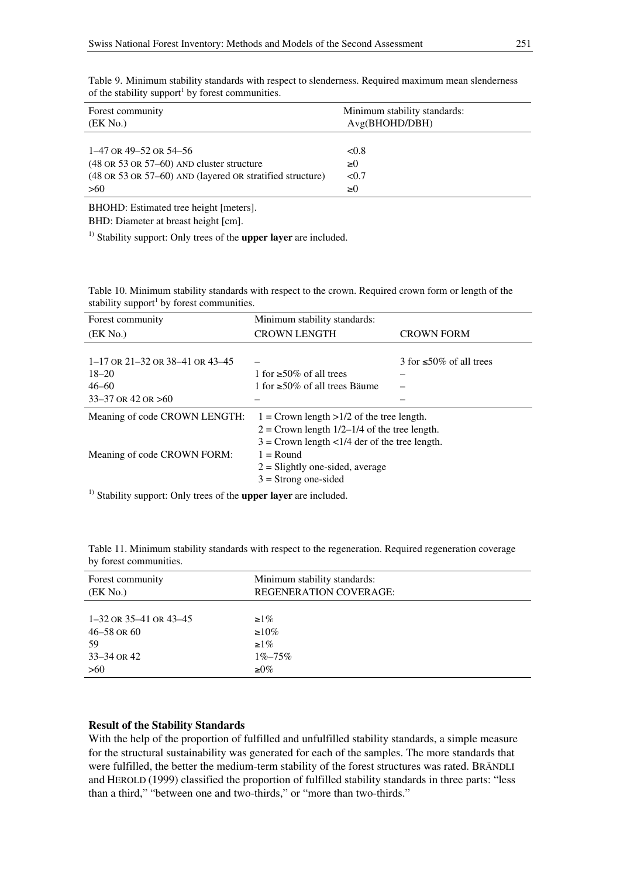| Forest community                                                              | Minimum stability standards: |
|-------------------------------------------------------------------------------|------------------------------|
| (EK No.)                                                                      | Avg(BHOHD/DBH)               |
| $1-47$ or $49-52$ or $54-56$                                                  | < 0.8                        |
| $(48 \text{ OR } 53 \text{ OR } 57-60)$ AND cluster structure                 | ≥0                           |
| $(48 \text{ OR } 53 \text{ OR } 57-60)$ AND (layered OR stratified structure) | < 0.7                        |
| >60                                                                           | $\geq 0$                     |

Table 9. Minimum stability standards with respect to slenderness. Required maximum mean slenderness of the stability support<sup>1</sup> by forest communities.

BHOHD: Estimated tree height [meters].

BHD: Diameter at breast height [cm].

<sup>1)</sup> Stability support: Only trees of the **upper layer** are included.

Table 10. Minimum stability standards with respect to the crown. Required crown form or length of the stability support<sup>1</sup> by forest communities.

| Forest community                        | Minimum stability standards:                     |                         |
|-----------------------------------------|--------------------------------------------------|-------------------------|
| (EK No.)                                | <b>CROWN LENGTH</b>                              | <b>CROWN FORM</b>       |
|                                         |                                                  |                         |
| $1-17$ OR $21-32$ OR $38-41$ OR $43-45$ |                                                  | 3 for ≤50% of all trees |
| $18 - 20$                               | 1 for $\geq 50\%$ of all trees                   |                         |
| $46 - 60$                               | 1 for ≥50% of all trees Bäume                    |                         |
| $33-37$ OR 42 OR $>60$                  |                                                  |                         |
| Meaning of code CROWN LENGTH:           | $1 =$ Crown length >1/2 of the tree length.      |                         |
|                                         | $2 =$ Crown length $1/2-1/4$ of the tree length. |                         |
|                                         | $3 =$ Crown length <1/4 der of the tree length.  |                         |
| Meaning of code CROWN FORM:             | $1 =$ Round                                      |                         |
|                                         | $2 =$ Slightly one-sided, average                |                         |
|                                         | $3 =$ Strong one-sided                           |                         |

<sup>1)</sup> Stability support: Only trees of the **upper layer** are included.

Table 11. Minimum stability standards with respect to the regeneration. Required regeneration coverage by forest communities.

| Forest community<br>(EK No.) | Minimum stability standards:<br><b>REGENERATION COVERAGE:</b> |
|------------------------------|---------------------------------------------------------------|
|                              |                                                               |
| $1-32$ OR 35-41 OR 43-45     | $\geq$ 1%                                                     |
| $46 - 58$ OR 60              | $\geq 10\%$                                                   |
| .59                          | $\geq$ 1%                                                     |
| $33 - 34$ OR 42              | $1\% - 75\%$                                                  |
| >60                          | $\geq 0\%$                                                    |

### **Result of the Stability Standards**

With the help of the proportion of fulfilled and unfulfilled stability standards, a simple measure for the structural sustainability was generated for each of the samples. The more standards that were fulfilled, the better the medium-term stability of the forest structures was rated. BRÄNDLI and HEROLD (1999) classified the proportion of fulfilled stability standards in three parts: "less than a third," "between one and two-thirds," or "more than two-thirds."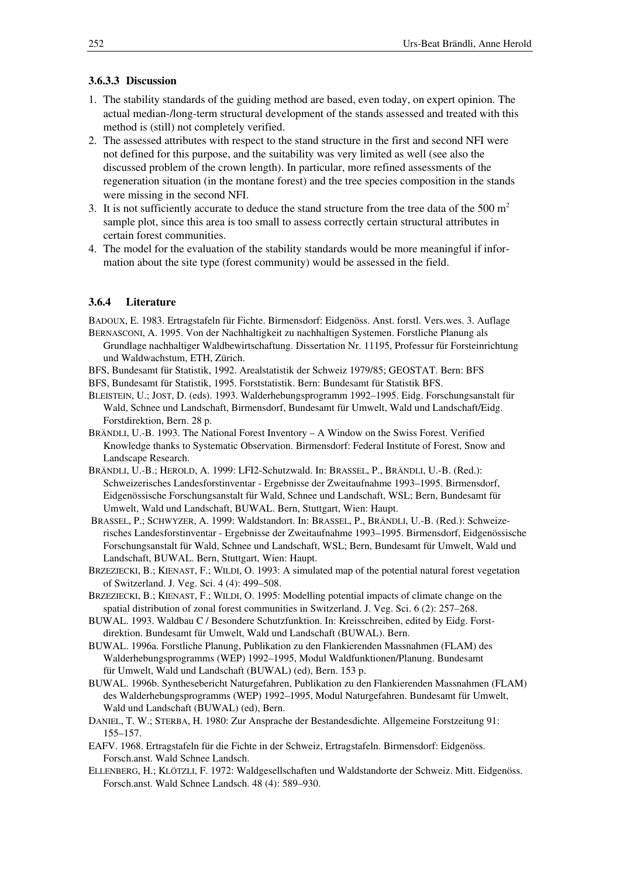# **3.6.3.3 Discussion**

- 1. The stability standards of the guiding method are based, even today, on expert opinion. The actual median-/long-term structural development of the stands assessed and treated with this method is (still) not completely verified.
- 2. The assessed attributes with respect to the stand structure in the first and second NFI were not defined for this purpose, and the suitability was very limited as well (see also the discussed problem of the crown length). In particular, more refined assessments of the regeneration situation (in the montane forest) and the tree species composition in the stands were missing in the second NFI.
- 3. It is not sufficiently accurate to deduce the stand structure from the tree data of the  $500 \text{ m}^2$ sample plot, since this area is too small to assess correctly certain structural attributes in certain forest communities.
- 4. The model for the evaluation of the stability standards would be more meaningful if information about the site type (forest community) would be assessed in the field.

## **3.6.4 Literature**

BADOUX, E. 1983. Ertragstafeln für Fichte. Birmensdorf: Eidgenöss. Anst. forstl. Vers.wes. 3. Auflage BERNASCONI, A. 1995. Von der Nachhaltigkeit zu nachhaltigen Systemen. Forstliche Planung als

- Grundlage nachhaltiger Waldbewirtschaftung. Dissertation Nr. 11195, Professur für Forsteinrichtung und Waldwachstum, ETH, Zürich.
- BFS, Bundesamt für Statistik, 1992. Arealstatistik der Schweiz 1979/85; GEOSTAT. Bern: BFS
- BFS, Bundesamt für Statistik, 1995. Forststatistik. Bern: Bundesamt für Statistik BFS.
- BLEISTEIN, U.; JOST, D. (eds). 1993. Walderhebungsprogramm 1992–1995. Eidg. Forschungsanstalt für Wald, Schnee und Landschaft, Birmensdorf, Bundesamt für Umwelt, Wald und Landschaft/Eidg. Forstdirektion, Bern. 28 p.
- BRÄNDLI, U.-B. 1993. The National Forest Inventory A Window on the Swiss Forest. Verified Knowledge thanks to Systematic Observation. Birmensdorf: Federal Institute of Forest, Snow and Landscape Research.
- BRÄNDLI, U.-B.; HEROLD, A. 1999: LFI2-Schutzwald. In: BRASSEL, P., BRÄNDLI, U.-B. (Red.): Schweizerisches Landesforstinventar - Ergebnisse der Zweitaufnahme 1993–1995. Birmensdorf, Eidgenössische Forschungsanstalt für Wald, Schnee und Landschaft, WSL; Bern, Bundesamt für Umwelt, Wald und Landschaft, BUWAL. Bern, Stuttgart, Wien: Haupt.
- BRASSEL, P.; SCHWYZER, A. 1999: Waldstandort. In: BRASSEL, P., BRÄNDLI, U.-B. (Red.): Schweizerisches Landesforstinventar - Ergebnisse der Zweitaufnahme 1993–1995. Birmensdorf, Eidgenössische Forschungsanstalt für Wald, Schnee und Landschaft, WSL; Bern, Bundesamt für Umwelt, Wald und Landschaft, BUWAL. Bern, Stuttgart, Wien: Haupt.
- BRZEZIECKI, B.; KIENAST, F.; WILDI, O. 1993: A simulated map of the potential natural forest vegetation of Switzerland. J. Veg. Sci. 4 (4): 499–508.
- BRZEZIECKI, B.; KIENAST, F.; WILDI, O. 1995: Modelling potential impacts of climate change on the spatial distribution of zonal forest communities in Switzerland. J. Veg. Sci. 6 (2): 257–268.
- BUWAL. 1993. Waldbau C / Besondere Schutzfunktion. In: Kreisschreiben, edited by Eidg. Forstdirektion. Bundesamt für Umwelt, Wald und Landschaft (BUWAL). Bern.
- BUWAL. 1996a. Forstliche Planung, Publikation zu den Flankierenden Massnahmen (FLAM) des Walderhebungsprogramms (WEP) 1992–1995, Modul Waldfunktionen/Planung. Bundesamt für Umwelt, Wald und Landschaft (BUWAL) (ed), Bern. 153 p.
- BUWAL. 1996b. Synthesebericht Naturgefahren, Publikation zu den Flankierenden Massnahmen (FLAM) des Walderhebungsprogramms (WEP) 1992–1995, Modul Naturgefahren. Bundesamt für Umwelt, Wald und Landschaft (BUWAL) (ed), Bern.
- DANIEL, T. W.; STERBA, H. 1980: Zur Ansprache der Bestandesdichte. Allgemeine Forstzeitung 91: 155–157.
- EAFV. 1968. Ertragstafeln für die Fichte in der Schweiz, Ertragstafeln. Birmensdorf: Eidgenöss. Forsch.anst. Wald Schnee Landsch.
- ELLENBERG, H.; KLÖTZLI, F. 1972: Waldgesellschaften und Waldstandorte der Schweiz. Mitt. Eidgenöss. Forsch.anst. Wald Schnee Landsch. 48 (4): 589–930.